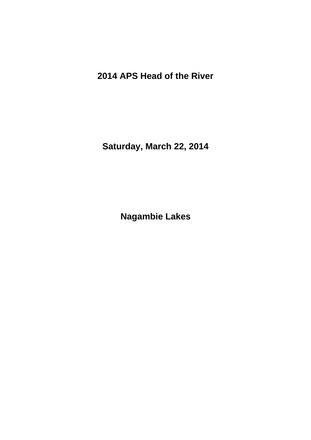**2014 APS Head of the River**

**Saturday, March 22, 2014**

**Nagambie Lakes**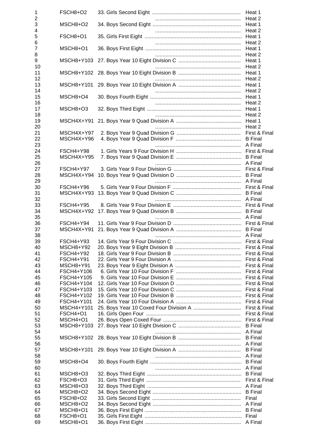| $\mathbf 1$         | FSCH8+O2                       | Heat 1                          |
|---------------------|--------------------------------|---------------------------------|
| $\overline{2}$<br>3 | MSCH8+O2                       | Heat 2                          |
| 4                   |                                | Heat 2                          |
| 5                   | FSCH8+O1                       |                                 |
| 6                   |                                | Heat 2                          |
| $\overline{7}$      | MSCH8+O1                       | Heat 1                          |
| 8                   |                                | Heat 2                          |
| 9<br>10             | MSCH8+Y103                     | Heat 1<br>Heat 2                |
| 11                  | MSCH8+Y102                     | Heat 1                          |
| 12                  |                                | Heat 2                          |
| 13                  | MSCH8+Y101                     | Heat 1                          |
| 14                  |                                | Heat 2                          |
| 15<br>16            | MSCH8+O4                       |                                 |
| 17                  | MSCH8+O3                       |                                 |
| 18                  |                                | Heat 2                          |
| 19                  | MSCH4X+Y91                     | Heat 1                          |
| 20                  |                                | Heat 2                          |
| 21<br>22            | MSCH4X+Y97<br>MSCH4X+Y96       | First & Final<br><b>B</b> Final |
| 23                  |                                | A Final                         |
| 24                  | FSCH4+Y98                      |                                 |
| 25                  | MSCH4X+Y95                     |                                 |
| 26                  |                                |                                 |
| 27<br>28            | <b>FSCH4+Y97</b><br>MSCH4X+Y94 |                                 |
| 29                  |                                |                                 |
| 30                  | FSCH4+Y96                      |                                 |
| 31                  | MSCH4X+Y93                     |                                 |
| 32                  |                                |                                 |
| 33                  | <b>FSCH4+Y95</b>               |                                 |
| 34<br>35            | MSCH4X+Y92                     | A Final                         |
| 36                  | FSCH4+Y94                      |                                 |
| 37                  | MSCH4X+Y91                     |                                 |
| 38                  |                                |                                 |
| 39<br>40            | FSCH4+Y93<br>MSCH8+Y92         |                                 |
| 41                  | <b>FSCH4+Y92</b>               |                                 |
| 42                  | FSCH4+Y91                      |                                 |
| 43                  | MSCH8+Y91                      |                                 |
| 44                  | FSCH4+Y106                     |                                 |
| 45                  | FSCH4+Y105                     |                                 |
| 46<br>47            | FSCH4+Y104<br>FSCH4+Y103       |                                 |
| 48                  | FSCH4+Y102                     |                                 |
| 49                  | FSCH4+Y101                     | First & Final                   |
| 50                  | MSCH4+Y101                     |                                 |
| 51                  | <b>FSCH4+O1</b>                |                                 |
| 52<br>53            | MSCH4+O1<br>MSCH8+Y103         |                                 |
| 54                  |                                |                                 |
| 55                  |                                |                                 |
| 56                  |                                | A Final                         |
| 57                  | MSCH8+Y101                     | <b>B</b> Final                  |
| 58<br>59            | MSCH8+O4                       | A Final<br><b>B</b> Final       |
| 60                  |                                | A Final                         |
| 61                  | MSCH8+O3                       | <b>B</b> Final                  |
| 62                  | FSCH8+O3                       | First & Final                   |
| 63                  | MSCH8+O3                       |                                 |
| 64<br>65            | MSCH8+O2<br>FSCH8+O2           |                                 |
| 66                  | MSCH8+O2                       |                                 |
| 67                  | MSCH8+O1                       |                                 |
| 68                  | FSCH8+O1                       |                                 |
| 69                  | MSCH8+O1                       |                                 |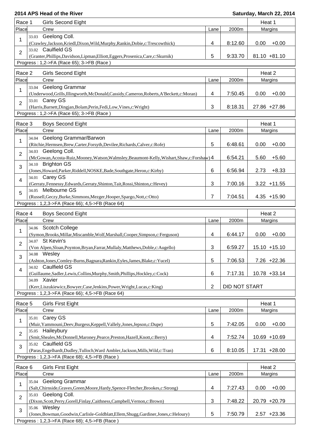| Race 1                  | <b>Girls Second Eight</b>                                                                                                                              |                |               | Heat 1            |  |  |  |  |
|-------------------------|--------------------------------------------------------------------------------------------------------------------------------------------------------|----------------|---------------|-------------------|--|--|--|--|
| Place                   | Crew                                                                                                                                                   | Lane           | 2000m         | Margins           |  |  |  |  |
| 33.03<br>$\mathbf{1}$   | Geelong Coll.<br>(Crawley,Jackson,Kriedl,Dixon,Wild,Murphy,Rankin,Dobie,c:Trescowthick)                                                                | 4              | 8:12.60       | 0.00<br>$+0.00$   |  |  |  |  |
| $\overline{c}$          | 33.02 Caulfield GS<br>(Granter, Phillips, Davidson, Lipman, Elliott, Eggers, Prosenica, Care, c: Skurnik)<br>Progress: 1,2->FA (Race 65); 3->FB (Race) | 5              | 9:33.70       | $81.10 + 81.10$   |  |  |  |  |
|                         |                                                                                                                                                        |                |               |                   |  |  |  |  |
| Race 2<br>Place         | <b>Girls Second Eight</b><br>Crew                                                                                                                      | Lane           | 2000m         | Heat 2<br>Margins |  |  |  |  |
| 33.04<br>1              | Geelong Grammar<br>(Underwood, Grills, Illingworth, McDonald, Cassidy, Cameron, Roberts, A'Beckett, c: Moran)                                          | 4              | 7:50.45       | 0.00<br>$+0.00$   |  |  |  |  |
| 33.01<br>$\overline{2}$ | Carey GS<br>(Harris, Barnett, Dingjan, Bolam, Perin, Fedi, Low, Vines, c: Wright)                                                                      | 3              | 8:18.31       | 27.86 +27.86      |  |  |  |  |
|                         | Progress: 1,2->FA (Race 65); 3->FB (Race)                                                                                                              |                |               |                   |  |  |  |  |
| Race 3                  | <b>Boys Second Eight</b>                                                                                                                               |                |               | Heat 1            |  |  |  |  |
| Place                   | Crew                                                                                                                                                   | Lane           | 2000m         | Margins           |  |  |  |  |
| 1                       | 34.04 Geelong Grammar/Barwon<br>(Ritchie, Hermsen, Brew, Carter, Forsyth, Devilee, Richards, Calver, c: Rofe)                                          | 5              | 6:48.61       | 0.00<br>$+0.00$   |  |  |  |  |
| $\overline{2}$          | 34.03 Geelong Coll.<br>(McGowan, Acosta-Ruiz, Mooney, Watson, Walmsley, Beaumont-Kelly, Wishart, Shaw, c: Forshaw) 4                                   |                | 6:54.21       | 5.60<br>$+5.60$   |  |  |  |  |
|                         | 34.10 Brighton GS                                                                                                                                      |                |               |                   |  |  |  |  |
| 3                       | (Jones, Howard, Parker, Riddell, NOSKE, Bade, Southgate, Heron, c: Kirby)<br>34.01 Carey GS                                                            | 6              | 6:56.94       | $+8.33$<br>2.73   |  |  |  |  |
| $\overline{\mathbf{4}}$ | (Gerraty, Fennessy, Edwards, Gerraty, Shinton, Tait, Rossi, Shinton, c: Hevey)<br>34.05 Melbourne GS                                                   | 3              | 7:00.16       | $3.22 + 11.55$    |  |  |  |  |
| 5                       | (Russell, Geczy, Burke, Simmons, Mezger, Hooper, Spargo, Nott, c: Otto)                                                                                | $\overline{7}$ | 7:04.51       | $4.35 + 15.90$    |  |  |  |  |
|                         | Progress: 1,2,3->FA (Race 66); 4,5->FB (Race 64)                                                                                                       |                |               |                   |  |  |  |  |
| Race 4                  | Boys Second Eight                                                                                                                                      |                |               | Heat 2            |  |  |  |  |
| Place<br>34.06          | Crew<br><b>Scotch College</b>                                                                                                                          | Lane           | 2000m         | Margins           |  |  |  |  |
| $\mathbf{1}$            | (Symon, Brooks, Millar, Miscamble, Wolf, Marshall, Cooper, Simpson, c: Ferguson)<br>34.07 St Kevin's                                                   | 4              | 6:44.17       | 0.00<br>$+0.00$   |  |  |  |  |
| $\overline{2}$          | (Von Alpen, Sloan, Poynton, Bryan, Farrar, Mullaly, Matthews, Doble, c: Augello)                                                                       | 3              | 6:59.27       | 15.10 +15.10      |  |  |  |  |
| 3                       | 34.08 Wesley<br>(Ashton,Jones,Comley-Burns,Bagnara,Rankin,Eyles,James,Blake,c:Yucel)                                                                   | 5              | 7:06.53       | $7.26 +22.36$     |  |  |  |  |
| $\overline{\mathbf{4}}$ | 34.02 Caulfield GS<br>(Guillaume, Sadler, Lewis, Collins, Murphy, Smith, Phillips, Hockley, c: Cock)                                                   | 6              | 7:17.31       | 10.78 +33.14      |  |  |  |  |
|                         | 34.09 Xavier<br>(Kerr, Liszukiewicz, Bowyer, Case, Jenkins, Power, Wright, Lucas, c: King)                                                             | $\overline{2}$ | DID NOT START |                   |  |  |  |  |
|                         | Progress: 1,2,3->FA (Race 66); 4,5->FB (Race 64)                                                                                                       |                |               |                   |  |  |  |  |
| Race 5                  | <b>Girls First Eight</b>                                                                                                                               |                |               | Heat 1            |  |  |  |  |
| Place                   | Crew                                                                                                                                                   | Lane           | 2000m         | Margins           |  |  |  |  |
| 1                       | 35.01 Carey GS<br>(Muir, Yammouni, Deev, Burgess, Keppell, Vallely, Jones, Jepson, c: Dupe)                                                            | 5              | 7:42.05       | 0.00<br>$+0.00$   |  |  |  |  |
| $\overline{2}$          | 35.05 Haileybury<br>(Smit,Sheales,McDonnell,Maroney,Pearce,Preston,Hazell,Knott,c:Berry)                                                               | 4              | 7:52.74       | 10.69 +10.69      |  |  |  |  |
| 3                       | 35.02 Caulfield GS<br>(Paras, Engelhardt, Dudley, Tulloch, Ward Ambler, Jackson, Mills, Wild, c: Tran)                                                 | 6              | 8:10.05       | 17.31 +28.00      |  |  |  |  |
|                         | Progress: 1,2,3->FA (Race 68); 4,5->FB (Race)                                                                                                          |                |               |                   |  |  |  |  |
| Race 6                  | <b>Girls First Eight</b>                                                                                                                               |                |               | Heat 2            |  |  |  |  |
| Place                   | Crew                                                                                                                                                   | Lane           | 2000m         | Margins           |  |  |  |  |
| 35.04<br>1              | <b>Geelong Grammar</b>                                                                                                                                 |                |               |                   |  |  |  |  |
|                         | (Salt, Chirnside, Graves, Green, Moore, Hardy, Spence-Fletcher, Brookes, c: Strong)<br>35.03 Geelong Coll.                                             | 4              | 7:27.43       | $+0.00$<br>0.00   |  |  |  |  |
| $\overline{2}$          | (Dixon, Scott, Perry, Gorell, Finlay, Caithness, Campbell, Vernon, c: Brown)<br>35.06 Wesley                                                           | 3              | 7:48.22       | 20.79 +20.79      |  |  |  |  |
| 3                       | (Jones, Bowman, Goodwin, Carlisle-Goldblatt, Ellem, Shugg, Gardiner, Jones, c: Heloury)                                                                | 5              | 7:50.79       | $2.57 + 23.36$    |  |  |  |  |
|                         | Progress: 1,2,3->FA (Race 68); 4,5->FB (Race)                                                                                                          |                |               |                   |  |  |  |  |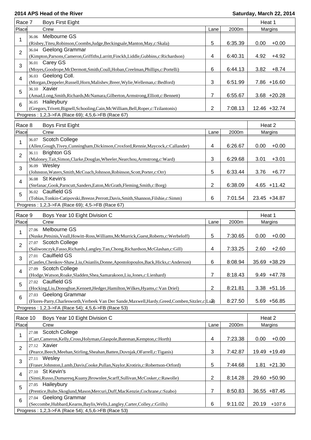| Race 7          | <b>Boys First Eight</b>                                                                                                              |                |         | Heat 1            |  |  |  |
|-----------------|--------------------------------------------------------------------------------------------------------------------------------------|----------------|---------|-------------------|--|--|--|
| Place           | Crew                                                                                                                                 | Lane           | 2000m   | Margins           |  |  |  |
| 1               | Melbourne GS<br>36.06<br>(Risbey,Titeu,Robinson,Coombs,Judge,Beckingsale,Manton,May,c:Skala)                                         | 5              | 6:35.39 | 0.00<br>$+0.00$   |  |  |  |
| $\overline{2}$  | 36.04 Geelong Grammar                                                                                                                |                |         |                   |  |  |  |
| 3               | (Kimpton, Parsons, Cameron, Griffiths, Larritt, Finckh, Liddle, Gubbins, c: Richardson)<br>36.01 Carey GS                            | 4              | 6:40.31 | 4.92<br>$+4.92$   |  |  |  |
|                 | (Moyes, Goodrope, McDermott, Smith, Coull, Hoban, Creelman, Phillips, c: Portelli)<br>36.03 Geelong Coll.                            | 6              | 6:44.13 | 3.82<br>$+8.74$   |  |  |  |
| $\overline{4}$  | (Morgan, Deppeler, Russell, Horn, Malishev, Breer, Wylie, Welleman, c: Bedford)<br>36.10 Xavier                                      | 3              | 6:51.99 | 7.86 +16.60       |  |  |  |
| 5               | (Amad,Long,Smith,Richards,McNamara,Gilberton,Armstrong,Elliott,c:Bennett)                                                            | 7              | 6:55.67 | $3.68 + 20.28$    |  |  |  |
| $\,6$           | 36.05 Haileybury<br>(Gregors, Trivett, Bignell, Schooling, Cain, McWilliam, Bell, Roper, c: Tzilantonis)                             | 2              | 7:08.13 | 12.46 +32.74      |  |  |  |
|                 | Progress: 1,2,3->FA (Race 69); 4,5,6->FB (Race 67)                                                                                   |                |         |                   |  |  |  |
| Race 8          | <b>Boys First Eight</b>                                                                                                              |                |         | Heat 2            |  |  |  |
| Place           | Crew                                                                                                                                 | Lane           | 2000m   | Margins           |  |  |  |
|                 | <b>Scotch College</b><br>36.07                                                                                                       |                |         |                   |  |  |  |
| 1               | (Allen, Gough, Tivey, Cunningham, Dickinson, Croxford, Rennie, Maycock, c: Callander)<br><b>Brighton GS</b><br>36.11                 | 4              | 6:26.67 | $+0.00$<br>0.00   |  |  |  |
| $\overline{2}$  | (Maloney,Tait,Simon,Clarke,Douglas,Wheeler,Nearchou,Armstrong,c:Ward)                                                                | 3              | 6:29.68 | $+3.01$<br>3.01   |  |  |  |
| 3               | 36.09 Wesley<br>(Johnston, Waters, Smith, McCoach, Johnson, Robinson, Scott, Porter, c: Orr)                                         | 5              | 6:33.44 | $+6.77$<br>3.76   |  |  |  |
| 4               | 36.08 St Kevin's<br>(Stefanac, Gook, Parncutt, Sanders, Eaton, McGrath, Fleming, Smith, c: Borg)                                     | 2              | 6:38.09 | $4.65 + 11.42$    |  |  |  |
| 5               | 36.02 Caulfield GS<br>(Tobias,Tonkin-Catipovski,Breeze,Perrott,Davis,Smith,Shannon,Filshie,c:Simm)                                   | 6              | 7:01.54 | 23.45 +34.87      |  |  |  |
|                 | Progress: 1,2,3->FA (Race 69); 4,5->FB (Race 67)                                                                                     |                |         |                   |  |  |  |
|                 |                                                                                                                                      |                |         |                   |  |  |  |
| Race 9<br>Place | Boys Year 10 Eight Division C<br>Crew                                                                                                | Lane           | 2000m   | Heat 1<br>Margins |  |  |  |
|                 | Melbourne GS<br>27.06                                                                                                                |                |         |                   |  |  |  |
| 1               | (Nuske, Petsinis, Veall, Howitt-Ross, Williams, McMurrick, Guest, Roberts, c: Werbeloff)                                             | 5              | 7:30.65 | 0.00<br>$+0.00$   |  |  |  |
| 2               | 27.07 Scotch College<br>(Saliwonczyk, Fasso, Richards, Langley, Tan, Chong, Richardson, McGlashan, c: Gill)                          | 4              | 7:33.25 | 2.60<br>$+2.60$   |  |  |  |
| 3               | 27.01 Caulfield GS<br>(Castles, Chenkov-Shaw, Liu, Osianlis, Donne, Apostolopoulos, Back, Hicks, c: Anderson)                        | 6              | 8:08.94 | 35.69 +38.29      |  |  |  |
| $\overline{4}$  | 27.09 Scotch College<br>(Hodge, Watson, Roake, Sladden, Shea, Samarakoon, Liu, Jones, c: Lienhard)                                   | 7              | 8:18.43 | $9.49 + 47.78$    |  |  |  |
|                 | 27.02 Caulfield GS                                                                                                                   |                |         |                   |  |  |  |
| 5               | (Hocking, Liu, Donoghue, Kennett, Hedger, Hamilton, Wilkes, Hyams, c: Van Driel)<br><b>Geelong Grammar</b><br>27.03                  | $\sqrt{2}$     | 8:21.81 | $3.38 + 51.16$    |  |  |  |
| $\,6$           | (Flores-Parry, Charlesworth, Verbeek Van Der Sande, Maxwell, Hardy, Greed, Comben, Sitzler, c Lu3)                                   |                | 8:27.50 | 5.69 +56.85       |  |  |  |
|                 | Progress: 1,2,3->FA (Race 54); 4,5,6->FB (Race 53)                                                                                   |                |         |                   |  |  |  |
| Race 10         | Boys Year 10 Eight Division C                                                                                                        |                |         | Heat 2            |  |  |  |
| Place           | Crew                                                                                                                                 | Lane           | 2000m   | Margins           |  |  |  |
| 1               | <b>Scotch College</b><br>27.08<br>(Carr, Cameron, Kelly, Cross, Holyman, Glaspole, Bateman, Kempton, c: Horth)                       | 4              | 7:23.38 | $+0.00$<br>0.00   |  |  |  |
|                 | 27.12 Xavier                                                                                                                         |                |         |                   |  |  |  |
| $\overline{2}$  | (Pearce, Beech, Meehan, Stirling, Sheahan, Batten, Duvnjak, OFarrell, c: Tiganis)                                                    | 3              | 7:42.87 | 19.49 +19.49      |  |  |  |
| 3               | 27.11 Wesley<br>(Fraser,Johnston,Lamb,Davis,Cooke,Pullan,Naylor,Krotiris,c:Robertson-Orford)                                         | 5              | 7:44.68 | $1.81 + 21.30$    |  |  |  |
| 4               | 27.10 St Kevin's<br>(Sinni, Russo, Dumaresq, Kuany, Brownlee, Scarff, Sullivan, McCosker, c: Rawolle)                                | $\overline{2}$ | 8:14.28 | 29.60 +50.90      |  |  |  |
| 5               | 27.05 Haileybury<br>(Prentice,Bulte,Skoglund,Mason,Mercuri,Duff,MacKenzie,Cochrane,c:Szabo)                                          | 7              | 8:50.83 | 36.55 +87.45      |  |  |  |
| $\,6\,$         | 27.04 Geelong Grammar                                                                                                                |                |         |                   |  |  |  |
|                 | (Seccombe, Hubbard, Kearns, Baylis, Wells, Langley, Carter, Colley, c: Grills)<br>Progress: 1,2,3->FA (Race 54); 4,5,6->FB (Race 53) | 6              | 9:11.02 | 20.19<br>$+107.6$ |  |  |  |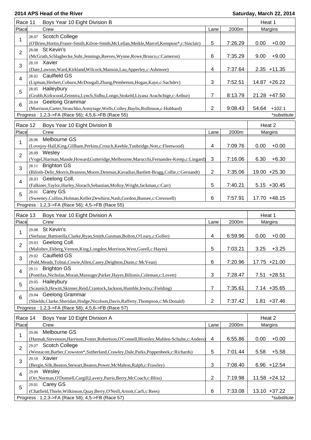| Race 11                                          |         | Boys Year 10 Eight Division B                                                                                           |                |         | Heat 1 |                 |  |
|--------------------------------------------------|---------|-------------------------------------------------------------------------------------------------------------------------|----------------|---------|--------|-----------------|--|
| Place                                            |         | Crew                                                                                                                    | Lane           | 2000m   |        | Margins         |  |
| 1                                                | 28.07   | <b>Scotch College</b><br>(O'Brien, Hortin, Fraser-Smith, Kilroe-Smith, McLellan, Meikle, Marcel, Kempton*, c: Sinclair) | 5              | 7:26.29 | 0.00   | $+0.00$         |  |
| $\overline{2}$                                   | 28.08   | St Kevin's<br>(McGrath, Schlaghecke, Suhr, Jennings, Reeves, Wynne, Rowe, Brusco, c: Cameron)                           | 6              | 7:35.29 | 9.00   | $+9.00$         |  |
| 3                                                |         | 28.10 Xavier<br>(Date,Lawson,Ward,Kirkland,Wilcock,Manson,Lau,Apperley,c:Ashmore)                                       | 4              | 7:37.64 |        | $2.35 + 11.35$  |  |
| 4                                                |         | 28.02 Caulfield GS<br>(Lipman, Herbert, Coburn, McDougall, Zhang, Pemberton, Hogan, Kaye, c: Sachdev)                   | 3              | 7:52.51 |        | 14.87 +26.22    |  |
| 5                                                |         | 28.05 Haileybury<br>(Grubb,Kirkwood,Zeinstra,Lynch,Sidhu,Longo,Stokeld,Liyana Arachchige,c:Arthur)                      | 7              | 8:13.79 |        | 21.28 +47.50    |  |
| 6                                                |         | 28.04 Geelong Grammar<br>(Morrison, Carter, Straschko, Armytage, Wells, Colley, Baylis, Rollinson, c: Hubbard)          | $\overline{2}$ | 9:08.43 | 54.64  | $+102.1$        |  |
|                                                  |         | Progress: 1,2,3->FA (Race 56); 4,5,6->FB (Race 55)                                                                      |                |         |        | *substitute     |  |
| Race 12                                          |         |                                                                                                                         |                |         | Heat 2 |                 |  |
| Place                                            |         | Boys Year 10 Eight Division B<br>Crew                                                                                   | Lane           | 2000m   |        | Margins         |  |
|                                                  | 28.06   | Melbourne GS                                                                                                            |                |         |        |                 |  |
| 1                                                |         | (Lovejoy-Hall, King, Gillham, Perkins, Crouch, Keeble, Tunbridge, Nott, c: Fleetwood)<br>28.09 Wesley                   | 4              | 7:09.76 | 0.00   | $+0.00$         |  |
| $\overline{2}$                                   | 28.11   | (Vogel, Harman, Mande, Howard, Gutteridge, Melbourne, Marucchi, Fernandes-Kemp, c: Lingard)<br><b>Brighton GS</b>       | $\mathbf{3}$   | 7:16.06 | 6.30   | $+6.30$         |  |
| 3                                                |         | (Bilosh-Delic, Morris, Branson, Moore, Denman, Kavadias, Bartlett-Bragg, Collie, c: Gernandt)<br>28.03 Geelong Coll.    | 2              | 7:35.06 |        | 19.00 +25.30    |  |
| 4                                                |         | (Falkiner,Taylor,Hurley,Slorach,Sebastian,Molloy,Wright,Jackman,c:Carr)                                                 | 5              | 7:40.21 |        | $5.15 + 30.45$  |  |
| 5                                                |         | 28.01 Carey GS<br>(Sweeney, Collins, Holman, Keller, Dewhirst, Nash, Gordon, Bunsee, c: Cresswell)                      | 6              | 7:57.91 |        | 17.70 +48.15    |  |
| Progress: 1,2,3->FA (Race 56); 4,5->FB (Race 55) |         |                                                                                                                         |                |         |        |                 |  |
|                                                  |         |                                                                                                                         |                |         |        |                 |  |
|                                                  | Race 13 | Boys Year 10 Eight Division A                                                                                           |                |         | Heat 1 |                 |  |
| Place                                            |         | Crew                                                                                                                    | Lane           | 2000m   |        | Margins         |  |
| 1                                                | 29.08   | St Kevin's<br>(Stefanac, Battistella, Clarke, Ryan, Smith, Gusman, Bolton, O'Leary, c: Goller)                          | 4              | 6:59.96 | 0.00   | $+0.00$         |  |
| 2                                                |         | 29.03 Geelong Coll.<br>(Malishev, Ekberg, Vernon, King, Longden, Morrison, West, Gorell, c: Hayes)                      | 5              | 7:03.21 | 3.25   | $+3.25$         |  |
| 3                                                |         | 29.02 Caulfield GS                                                                                                      |                |         |        |                 |  |
|                                                  |         | (Pohl, Meads, Tolnai, Cowie, Allen, Casey, Deighton, Dunn, c: McVean)<br>29.11 Brighton GS                              | 6              | 7:20.96 |        | 17.75 +21.00    |  |
| 4                                                |         | (Pontifax, Nicholas, Moran, Massuger, Parker, Hayes, Bilionis, Coleman, c: Lovett)                                      | 3              | 7:28.47 |        | $7.51 + 28.51$  |  |
| 5                                                |         | 29.05 Haileybury<br>(Scaunich, Hewitt, Skinner, Reid, Crantock, Jackson, Humble, Irwin, c: Fielding)                    | 7              | 7:35.61 |        | $7.14 + 35.65$  |  |
| $\,6$                                            |         | 29.04 Geelong Grammar<br>(Shields, Clarke, Sheridan, Hodge, Nicolson, Davis, Rafferty, Thompson, c: McDonald)           | $\overline{2}$ | 7:37.42 |        | $1.81 + 37.46$  |  |
|                                                  |         | Progress: 1,2,3->FA (Race 58); 4,5,6->FB (Race 57)                                                                      |                |         |        |                 |  |
| Race 14                                          |         | Boys Year 10 Eight Division A                                                                                           |                |         |        | Heat 2          |  |
| Place                                            |         | Crew                                                                                                                    | Lane           | 2000m   |        | Margins         |  |
| 1                                                | 29.06   | Melbourne GS<br>(Hannah, Stevenson, Harrison, Foster, Robertson, O'Connell, Blomley, Muhlen-Schulte, c: Anders)         | 4              | 6:55.86 | 0.00   | $+0.00$         |  |
| $\overline{2}$                                   |         | 29.07 Scotch College<br>(Westacott,Barber,Crowston*,Sutherland,Crawley,Dale,Parks,Poppenbeek,c:Richards)                | 5              | 7:01.44 | 5.58   | $+5.58$         |  |
| 3                                                |         | 29.10 Xavier<br>(Bergin, Silk, Beaton, Stewart, Beaton, Power, McMahon, Ralph, c: Frawley)                              | 3              | 7:08.40 |        | $6.96 + 12.54$  |  |
| 4                                                |         | 29.09 Wesley<br>(Orr, Norman, O'Donnell, Cargill, Lavery, Parris, Berry, McCoach, c: Bliss)                             | $\overline{2}$ | 7:19.98 |        | $11.58 + 24.12$ |  |
| 5                                                |         | 29.01 Carey GS<br>(Chatfield,Thiele,Wilkinson,Quay,Berry,O'Neill,Arnott,Carfi,c:Rees)                                   | 6              | 7:33.08 |        | 13.10 +37.22    |  |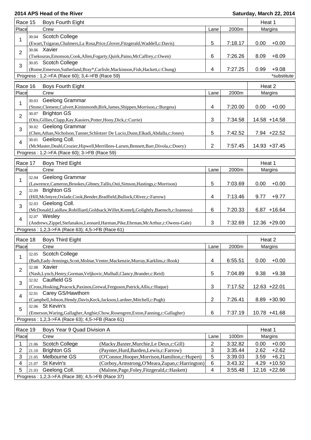| Race 15                                        |       | Boys Fourth Eight                                                                                            |  |                |         |      | Heat 1          |
|------------------------------------------------|-------|--------------------------------------------------------------------------------------------------------------|--|----------------|---------|------|-----------------|
| Place                                          |       | Crew                                                                                                         |  | Lane           | 2000m   |      | Margins         |
| 1                                              | 30.04 | Scotch College<br>(Ewart,Tsigaras,Chalmers,La Rosa,Price,Glover,Fitzgerald,Waddell,c:Davis)                  |  | 5              | 7:18.17 | 0.00 | $+0.00$         |
|                                                |       | 30.06 Xavier                                                                                                 |  |                |         |      |                 |
| $\overline{2}$                                 |       | (Tsekouras, Emonson, Cook, Allen, Fogarty, Quirk, Paino, McCaffrey, c: Owen)                                 |  | 6              | 7:26.26 | 8.09 | $+8.09$         |
| 3                                              |       | 30.05 Scotch College<br>(Rome, Emerson, Sutherland, Bray*, Carlisle, Mackinnon, Fish, Hackett, c: Chung)     |  | 4              | 7:27.25 | 0.99 | $+9.08$         |
| Progress: 1,2->FA (Race 60); 3,4->FB (Race 59) |       |                                                                                                              |  |                |         |      | *substitute     |
| Race 16                                        |       | Boys Fourth Eight                                                                                            |  |                |         |      | Heat 2          |
| Place                                          |       | Crew                                                                                                         |  | Lane           | 2000m   |      | Margins         |
| 1                                              | 30.03 | Geelong Grammar                                                                                              |  |                |         |      |                 |
|                                                |       | (Stone, Clement, Calvert, Kininmonth, Birk, James, Shippen, Morrison, c: Burgess)                            |  | 4              | 7:20.00 | 0.00 | $+0.00$         |
| $\overline{2}$                                 |       | 30.07 Brighton GS                                                                                            |  |                |         |      |                 |
|                                                |       | (Otis, Gillies, Clapp, Kay, Kauiers, Potter, Hooy, Dick, c: Currie)                                          |  | 3              | 7:34.58 |      | 14.58 +14.58    |
| 3                                              |       | 30.02 Geelong Grammar                                                                                        |  | 5              |         |      | $7.94 +22.52$   |
|                                                |       | (Chen, Athan, Nicholson, Tanner, Schlotzer De Lucio, Dunn, Elkadi, Abdalla, c: Jones)<br>30.01 Geelong Coll. |  |                | 7:42.52 |      |                 |
| $\overline{4}$                                 |       | (McMaster,Deahl,Crozier,Hipwell,Merrillees-Larsen,Bennett,Barr,Divola,c:Doery)                               |  | $\overline{2}$ | 7:57.45 |      | 14.93 +37.45    |
|                                                |       | Progress: 1,2->FA (Race 60); 3->FB (Race 59)                                                                 |  |                |         |      |                 |
|                                                |       |                                                                                                              |  |                |         |      |                 |
| Race 17<br>Place                               |       | <b>Boys Third Eight</b><br>Crew                                                                              |  |                |         |      | Heat 1          |
|                                                |       |                                                                                                              |  | Lane           | 2000m   |      | Margins         |
| 1                                              | 32.04 | Geelong Grammar<br>(Lawrence,Cameron,Brookes,Gibney,Tallis,Osti,Simson,Hastings,c:Morrison)                  |  | 5              | 7:03.69 | 0.00 | $+0.00$         |
| $\overline{2}$                                 |       | 32.09 Brighton GS                                                                                            |  |                |         |      |                 |
|                                                |       | (Hill, McIntyre, Oxlade, Cook, Bender, Bradfield, Bullock, Oliver, c: Farrow)                                |  | 4              | 7:13.46 | 9.77 | $+9.77$         |
| 3                                              |       | 32.03 Geelong Coll.<br>(McDonald,Laidlaw,Robilliard,Goldsack,Willet,Kontelj,Golightly,Baensch,c:Ioannou)     |  | 6              | 7:20.33 |      | $6.87 + 16.64$  |
| $\overline{4}$                                 |       | 32.07 Wesley                                                                                                 |  |                |         |      |                 |
|                                                |       | (Andrews,Zippel,Stefanakos,Leonard,Harman,Pike,Ehrman,McArthur,c:Owens-Gale)                                 |  | 3              | 7:32.69 |      | 12.36 +29.00    |
|                                                |       | Progress: 1,2,3->FA (Race 63); 4,5->FB (Race 61)                                                             |  |                |         |      |                 |
| Race 18                                        |       | <b>Boys Third Eight</b>                                                                                      |  |                |         |      | Heat 2          |
| Place                                          |       | Crew                                                                                                         |  | Lane           | 2000m   |      | Margins         |
| 1                                              |       | 32.05 Scotch College                                                                                         |  |                |         |      |                 |
|                                                |       | (Bath, Eady-Jennings, Scott, Molnar, Venter, Mackenzie, Murray, Karklins, c: Rook)                           |  | 4              | 6:55.51 | 0.00 | $+0.00$         |
| $\overline{2}$                                 |       | 32.08 Xavier                                                                                                 |  |                |         |      |                 |
|                                                |       | (Nash, Lynch, Henry, Gorman, Veljkovic, Mulhall, Clancy, Brander, c: Reid)                                   |  | 5              | 7:04.89 | 9.38 | $+9.38$         |
| 3                                              |       | 32.02 Caulfield GS                                                                                           |  |                |         |      |                 |
|                                                |       | (Cross, Hosking, Peacock, Paxinos, Grewal, Ferguson, Patrick, Allis, c: Haque)<br>32.01 Carey GS/Hawthorn    |  | 3              | 7:17.52 |      | $12.63 + 22.01$ |
| $\overline{4}$                                 |       | (Campbell,Jobson,Hendy,Davis,Keck,Jackson,Lardner,Mitchell,c:Pugh)                                           |  | $\overline{2}$ | 7:26.41 |      | 8.89 +30.90     |
|                                                |       | 32.06 St Kevin's                                                                                             |  |                |         |      |                 |
| 5                                              |       | (Emerson, Waring, Gallagher, Anghie, Chow, Rosengren, Exton, Fanning, c: Gallagher)                          |  | 6              | 7:37.19 |      | $10.78 + 41.68$ |
|                                                |       | Progress: 1,2,3->FA (Race 63); 4,5->FB (Race 61)                                                             |  |                |         |      |                 |
| Race 19                                        |       | Boys Year 9 Quad Division A                                                                                  |  |                |         |      | Heat 1          |
| Place                                          |       | Crew                                                                                                         |  | Lane           | 1000m   |      | Margins         |
| 1                                              | 21.06 | Scotch College<br>(Macky, Baxter, Murchie, Le Deux, c: Gill)                                                 |  | $\overline{c}$ | 3:32.82 | 0.00 | $+0.00$         |
| $\overline{2}$                                 | 21.10 | <b>Brighton GS</b><br>(Paynter, Hurd, Barden, Lewis, c: Farrow)                                              |  | 3              | 3:35.44 | 2.62 | $+2.62$         |
| 3                                              | 21.05 | Melbourne GS<br>(O'Connor, Hooper, Morrison, Hamilton, c: Hupert)                                            |  | 5              | 3:39.03 | 3.59 | $+6.21$         |
| 4                                              | 21.07 | (Corboy, Armstrong, O'Meara, Zupan, c: Harrington)<br>St Kevin's                                             |  | 6              | 3:43.32 | 4.29 | $+10.50$        |
| 5                                              | 21.03 | Geelong Coll.<br>(Malone, Page, Foley, Fitzgerald, c: Haskett)                                               |  | 4              | 3:55.48 |      | 12.16 +22.66    |
|                                                |       | Progress: 1,2,3->FA (Race 38); 4,5->FB (Race 37)                                                             |  |                |         |      |                 |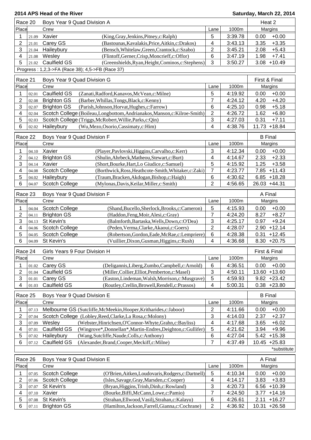| Race 20<br>Boys Year 9 Quad Division A |       |                                                                       |                                                          |                 |         | Heat 2         |                |
|----------------------------------------|-------|-----------------------------------------------------------------------|----------------------------------------------------------|-----------------|---------|----------------|----------------|
| Place                                  |       | Crew                                                                  |                                                          | Lane            | 1000m   |                | Margins        |
| 1                                      | 21.09 | Xavier                                                                | (King, Gray, Jenkins, Pitney, c: Ralph)                  | 5               | 3:39.78 | 0.00           | $+0.00$        |
| 2                                      | 21.01 | Carey GS                                                              | (Bastounas, Kavalakis, Price, Aitkin, c: Drakos)         | 4               | 3:43.13 | 3.35           | $+3.35$        |
| 3                                      | 21.04 | Haileybury                                                            | (Bensch, Whitelaw, Green, Crantock, c: Szabo)            | $\overline{c}$  | 3:45.21 | 2.08           | $+5.43$        |
| 4                                      | 21.08 | Wesley                                                                | (Flintoff, Gerner, Crisp, Moncrieff, c: Offor)           | 6               | 3:47.19 | 1.98           | $+7.41$        |
| 5                                      | 21.02 | Caulfield GS                                                          | (Greenshields, Ryan, Height, Cominos, c: Stephens)       | 3               | 3:50.27 | 3.08           | $+10.49$       |
|                                        |       | Progress: 1,2,3->FA (Race 38); 4,5->FB (Race 37)                      |                                                          |                 |         |                |                |
|                                        |       |                                                                       |                                                          |                 |         |                |                |
| Race 21                                |       | Boys Year 9 Quad Division G                                           |                                                          |                 |         | First & Final  |                |
| Place                                  |       | Crew                                                                  |                                                          | Lane            | 1000m   |                | Margins        |
| 1                                      | 02.01 | Caulfield GS                                                          | (Zanati, Radford, Kanavos, McVean, c: Milne)             | 5               | 4:19.92 | 0.00           | $+0.00$        |
| $\overline{2}$                         | 02.08 | <b>Brighton GS</b><br>(Barber, Whillas, Tongs, Black, c: Kenny)       |                                                          | 7               | 4:24.12 | 4.20           | $+4.20$        |
| 3                                      | 02.07 | <b>Brighton GS</b><br>(Parish, Johnson, Horvat, Hughes, c: Farrow)    |                                                          | $6\phantom{1}6$ | 4:25.10 | 0.98           | $+5.18$        |
| 4                                      | 02.04 | Scotch College (Boileau,Longbottom,Andrianakos,Manson,c:Kilroe-Smith) |                                                          | 2               | 4:26.72 | 1.62           | $+6.80$        |
| 5                                      | 02.03 | Scotch College (Triggs, McRobert, Willie, Parks, c: Qin)              |                                                          | 3               | 4:27.03 | 0.31           | $+7.11$        |
| 6                                      | 02.02 | Haileybury<br>(Wu,Mezo,Osorio,Cassimaty,c:Him)                        |                                                          | 4               | 4:38.76 |                | 11.73 +18.84   |
| Race 22                                |       | Boys Year 9 Quad Division F                                           |                                                          |                 |         | <b>B</b> Final |                |
| Place                                  |       | Crew                                                                  |                                                          | Lane            | 1000m   |                | Margins        |
| 1                                      | 04.10 | Xavier                                                                | (Player, Pavlovski, Higgins, Carvalho, c: Kerr)          | 3               | 4:12.34 | 0.00           | $+0.00$        |
| $\overline{2}$                         | 04.12 | <b>Brighton GS</b>                                                    | (Shulin, Ahrbeck, Matheou, Stewart, c: Burt)             | 4               | 4:14.67 | 2.33           | $+2.33$        |
| 3                                      | 04.14 | Xavier                                                                | (Short, Bourke, Hart, Lo Giudice, c: Samuel)             | 5               | 4:15.92 | 1.25           | $+3.58$        |
| 4                                      | 04.08 | Scotch College                                                        | (Borthwick, Ross, Heathcote-Smith, Whitaker, c: Zaki)    | 7               | 4:23.77 |                | $7.85 + 11.43$ |
| 5                                      | 04.02 | Haileybury                                                            | (Traum, Bracken, Akdogan, Bishop, c: Haigh)              | 6               | 4:30.62 |                | $6.85 + 18.28$ |
| 6                                      | 04.07 | Scotch College                                                        | (Mylonas, Davis, Keilar, Miller, c: Smith)               | $\overline{2}$  | 4:56.65 | 26.03 +44.31   |                |
|                                        |       |                                                                       |                                                          |                 |         |                |                |
| Race 23                                |       | Boys Year 9 Quad Division F                                           |                                                          |                 |         | A Final        |                |
| Place                                  |       | Crew                                                                  |                                                          | Lane            | 1000m   |                | Margins        |
| 1                                      | 04.04 | Scotch College                                                        | (Shand, Bucello, Sherlock, Brooks, c: Cameron)           | 5               | 4:15.93 | 0.00           | $+0.00$        |
| $\overline{2}$                         | 04.11 | <b>Brighton GS</b>                                                    | (Haddon, Feng, Moir, Alesi, c: Gray)                     | $\overline{7}$  | 4:24.20 | 8.27           | $+8.27$        |
| 3                                      | 04.13 | St Kevin's                                                            | (Balmforth, Bartaska, Wells, Down, c: O'Dea)             | 3               | 4:25.17 | 0.97           | $+9.24$        |
| 4                                      | 04.06 | <b>Scotch College</b>                                                 | (Peden, Verma, Clarke, Akaoui, c: Goers)                 | $\overline{2}$  | 4:28.07 |                | $2.90 + 12.14$ |
| 5                                      | 04.05 | <b>Scotch College</b>                                                 | (Robertson, Gordon, Eade, McRae, c: Lempriere)           | 6               | 4:28.38 | 0.31           | $+12.45$       |
| 6                                      | 04.09 | St Kevin's                                                            | (Vuillier, Dixon, Gusman, Higgins, c: Rush)              | 4               | 4:36.68 |                | $8.30 +20.75$  |
| Race 24                                |       | Girls Years 9 Four Division H                                         |                                                          |                 |         | First & Final  |                |
| Place                                  |       | Crew                                                                  |                                                          | Lane            | 1000m   |                | Margins        |
| 1                                      | 01.02 | Carey GS                                                              | (Deligannis,Liberg,Zumbo,Campbell,c:Arnold)              | 6               | 4:36.51 | 0.00           | $+0.00$        |
| $\overline{\mathbf{c}}$                | 01.04 | Caulfield GS                                                          | (Miller, Collier, Elliot, Pemberton, c: Masel)           | 3               | 4:50.11 |                | 13.60 +13.60   |
| 3                                      | 01.01 | Carey GS                                                              | (Easton, Lindeman, Walsh, Morrison, c: Musgrave)         | 5               | 4:59.93 |                | $9.82 +23.42$  |
| 4                                      | 01.03 | <b>Caulfield GS</b>                                                   | (Routley, Crellin, Browell, Rendell, c: Prassos)         | 4               | 5:00.31 |                | $0.38 + 23.80$ |
|                                        |       |                                                                       |                                                          |                 |         |                |                |
| Race 25                                |       | Boys Year 9 Quad Division E                                           |                                                          |                 |         | <b>B</b> Final |                |
| Place                                  |       | Crew                                                                  |                                                          | Lane            | 1000m   |                | Margins        |
| 1                                      | 07.13 | Melbourne GS (Sutcliffe, McMeekin, Hooper, Kritharides, c: Jaboor)    |                                                          | 2               | 4:11.66 | 0.00           | $+0.00$        |
| $\overline{c}$                         | 07.04 | Scotch College (Lobley, Reed, Clarke, La Rosa, c: Molony)             |                                                          | 3               | 4:14.03 | 2.37           | $+2.37$        |
| 3                                      | 07.09 | Wesley                                                                | (Webster, Hinrichsen, O'Connor-Whyte, Grahn, c: Bayliss) | 4               | 4:17.68 | 3.65           | $+6.02$        |
| 4                                      | 07.01 | Caulfield GS                                                          | (Wingrove*,Donnellan*,Martin-Endres,Deighton,c:Gullifer) | 5               | 4:21.62 | 3.94           | $+9.96$        |
| 5                                      | 07.02 | Haileybury<br>(Wang, Sutcliffe, Naude, Colls, c: Anthony)             |                                                          | 6               | 4:27.04 |                | $5.42 + 15.38$ |
| 6                                      | 07.12 | Caulfield GS<br>(Alexander, Brand, Cooper, Meckiff, c: Milne)         |                                                          | 7               | 4:37.49 |                | $10.45 +25.83$ |
|                                        |       |                                                                       |                                                          |                 |         |                | *substitute    |
| Race 26                                |       | Boys Year 9 Quad Division E                                           |                                                          |                 |         | A Final        |                |
| Place                                  |       | Crew                                                                  |                                                          | Lane            | 1000m   |                | Margins        |
| 1                                      | 07.05 | <b>Scotch College</b>                                                 | (O'Brien, Aitken, Loudovaris, Rodgers, c: Dartnell)      | 5               | 4:10.34 | 0.00           | $+0.00$        |
| 2                                      | 07.06 | <b>Scotch College</b>                                                 | (Isles, Savage, Gray, Marsden, c: Cooper)                | 4               | 4:14.17 | 3.83           | $+3.83$        |
| 3                                      | 07.07 | St Kevin's                                                            | (Bryan, Higgins, Trinh, Dinh, c: Rowland)                | 3               | 4:20.73 |                | $6.56 + 10.39$ |
| 4                                      | 07.10 | Xavier                                                                | (Bourke, Biffi, McCann, Lowe, c: Pamio)                  | 7               | 4:24.50 | 3.77           | $+14.16$       |
| 5                                      | 07.08 | St Kevin's                                                            | (Strahan, Ellwood, Vasilj, Strahan, c: Kalayu)           | 6               | 4:26.61 | 2.11           | $+16.27$       |
| 6                                      | 07.11 | <b>Brighton GS</b>                                                    | (Hamilton, Jackson, Farrell, Gianna, c: Cochrane)        | 2               | 4:36.92 |                | 10.31 +26.58   |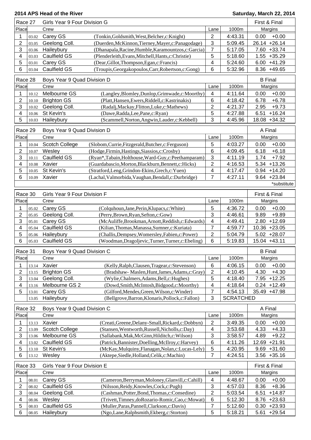| Race 27    |                | Girls Year 9 Four Division G |                                                      | First & Final           |                  |                  |
|------------|----------------|------------------------------|------------------------------------------------------|-------------------------|------------------|------------------|
| Place      |                | Crew                         |                                                      | Lane                    | 1000m            | Margins          |
| 1          | 03.02          | Carey GS                     | (Tonkin, Goldsmith, West, Belcher, c: Knight)        | $\overline{2}$          | 4:43.31          | $+0.00$<br>0.00  |
| 2          | 03.05          | Geelong Coll.                | (Duerden, McKinnon, Tierney, Mayer, c: Panagodage)   | $\mathbf{3}$            | 5:09.45          | 26.14 +26.14     |
| 3          | 03.06          | Haileybury                   | (Dhanapala, Racine, Humble, Karamountzos, c: Garcia) | $\overline{7}$          | 5:17.05          | 7.60 +33.74      |
| 4          | 03.03          | Caulfield GS                 | (Plenderleith, Evans, Mitchell, Hants, c: Christie)  | 5                       | 5:18.60          | $1.55 + 35.29$   |
| 5          | 03.01          | Carey GS                     | (Dear, Gillot, Thompson, Egan, c: Francis)           | 4                       | 5:24.60          | $6.00 +41.29$    |
| 6          | 03.04          | <b>Caulfield GS</b>          | (Troupis, Georgakopoulos, Carr, Robertson, c: Gong)  | 6                       | 5:32.96          | 8.36 +49.65      |
|            |                |                              |                                                      |                         |                  |                  |
| Race 28    |                | Boys Year 9 Quad Division D  |                                                      |                         |                  | <b>B</b> Final   |
| Place      |                | Crew                         |                                                      | Lane                    | 1000m            | Margins          |
|            | 10.12          | Melbourne GS                 | (Langley, Blomley, Dunlop, Grimwade, c: Moorthy)     | $\overline{4}$          | 4:11.64          | $+0.00$<br>0.00  |
| 2          | 10.10          | <b>Brighton GS</b>           | (Platt, Hansen, Ewers, Riddell, c: Kastrinakis)      | $\,6$                   | 4:18.42          | $+6.78$<br>6.78  |
| 3          | 10.02          | Geelong Coll.                | (Radalj, Mackay, Flitton, Luke, c: Mathews)          | $\overline{c}$          | 4:21.37          | $+9.73$<br>2.95  |
| 4          | 10.06          | St Kevin's                   | (Dawe, Radda, Lee, Pane, c: Ryan)                    | 5                       | 4:27.88          | $+16.24$<br>6.51 |
| 5          | 10.03          | Haileybury                   | (Scammell, Norton, Angwin, Lauder, c: Kebbell)       | 3                       | 4:45.96          | 18.08 +34.32     |
|            |                |                              |                                                      |                         |                  |                  |
| Race 29    |                | Boys Year 9 Quad Division D  |                                                      |                         |                  | A Final          |
| Place      |                | Crew                         |                                                      | Lane                    | 1000m            | Margins          |
|            | 10.04          | Scotch College               | (Slobom, Currie, Fitzgerald, Butcher, c: Ferguson)   | 5                       | 4:03.27          | $+0.00$<br>0.00  |
| 2          | 10.07          | Wesley                       | (Hodge, Firmin, Hastings, Siassios, c: Crosby)       | 6                       | 4:09.45          | 6.18<br>$+6.18$  |
| 3          | 10.11          | Caulfield GS                 | (Ryan*,Tabain,Holthouse,Ward-Guy,c:Peethamparam)     | 3                       | 4:11.19          | $+7.92$<br>1.74  |
| 4          | 10.08          | Xavier                       | (Guardabascio, Morton, Blackburn, Bennett, c: Hicks) | $\overline{\mathbf{c}}$ | 4:16.53          | $5.34 + 13.26$   |
| 5          | 10.05          | St Kevin's                   | (Stratford,Leng,Grindon-Ekins,Grech,c:Yuen)          | 4                       | 4:17.47          | $0.94 + 14.20$   |
| 6          | 10.09          | Xavier                       | (Lachal, Valmorbida, Vaughan, Bendall, c: Durbridge) | 7                       | 4:27.11          | $9.64 +23.84$    |
|            |                |                              |                                                      |                         |                  |                  |
|            |                |                              |                                                      |                         |                  | *substitute      |
| Race 30    |                | Girls Year 9 Four Division F |                                                      |                         |                  | First & Final    |
| Place      |                | Crew                         |                                                      | Lane                    | 1000m            | Margins          |
| 1          | 05.02          | Carey GS                     | (Colquhoun, Jane, Perin, Klupacs, c: White)          | 5                       | 4:36.72          | 0.00<br>$+0.00$  |
| 2          | 05.05          | Geelong Coll.                | (Perry, Brown, Ryan, Sefton, c: Gow)                 | 3                       | 4:46.61          | 9.89<br>$+9.89$  |
| 3          | 05.01          | Carey GS                     | (McAuliffe, Brookman, Arnott, Reddish, c: Edwards)   | 4                       | 4:49.41          | $+12.69$<br>2.80 |
| 4          | 05.04          | Caulfield GS                 | (Kilian, Thomas, Manassa, Sumner, c: Kuriata)        | $\overline{7}$          | 4:59.77          | 10.36 +23.05     |
| 5          |                | Haileybury                   | (Challis, Dempsey, Womersley, Fabien, c: Power)      | $\overline{2}$          | 5:04.79          | $5.02 +28.07$    |
| 6          | 05.06<br>05.03 | Caulfield GS                 | (Woodman, Dragoljevic, Turner, Turner, c: Ebeling)   | 6                       | 5:19.83          | 15.04 +43.11     |
|            |                |                              |                                                      |                         |                  |                  |
| Race 31    |                | Boys Year 9 Quad Division C  |                                                      |                         |                  | <b>B</b> Final   |
| Place      |                | Crew                         |                                                      | Lane                    | 1000m            | Margins          |
|            | 13.14          | Xavier                       | (Kelly, Ralph, Clausen, Tragear, c: Stevenson)       | $6\phantom{1}6$         | 4:06.15          | $+0.00$<br>0.00  |
| 2          | 13.15          | <b>Brighton GS</b>           | (Bradshaw- Maslen, Hunt, James, Adams, c: Gray)      | $\sqrt{2}$              | 4:10.45          | 4.30<br>$+4.30$  |
| 3          | 13.04          | Geelong Coll.                | (Wylie,Chalmers,Adams,Bell,c:Hughes)                 | 5                       | 4:18.40          | 7.95<br>$+12.25$ |
| 4          | 13.16          | Melbourne GS 2               | (Dowd,Smith,McIntosh,Bidgood,c:Moorthy)              | 4                       | 4:18.64          | $0.24 + 12.49$   |
| 5          | 13.01          | Carey GS                     | (Gilford, Mendes, Green, Wilson, c: Winder)          | 7                       | 4:54.13          | 35.49 +47.98     |
|            | 13.05          | Haileybury                   | (Bellgrove, Barron, Klonaris, Pollock, c: Fallon)    | 3                       | <b>SCRATCHED</b> |                  |
|            |                |                              |                                                      |                         |                  |                  |
| Race 32    |                | Boys Year 9 Quad Division C  |                                                      |                         |                  | A Final          |
| Place      |                | Crew                         |                                                      | Lane                    | 1000m            | Margins          |
| 1          | 13.13          | Xavier                       | (Creati, Greene, Delany-Small, Rickard, c: Dobbyn)   | 2                       | 3:49.35          | $+0.00$<br>0.00  |
| 2          | 13.09          | <b>Scotch College</b>        | (Stansen, Wentworth, Russell, Nicholls, c: Day)      | 4                       | 3:53.68          | 4.33<br>$+4.33$  |
| $\sqrt{3}$ | 13.06          | Melbourne GS                 | (Sallabank, Mak, McGinn, Hilditch, c: Wilson)        | 3                       | 3:58.57          | 4.89<br>$+9.22$  |
| 4          | 13.02          | Caulfield GS                 | (Patrick, Bannister, Doelling, McIlroy, c: Harvey)   | 6                       | 4:11.26          | 12.69 +21.91     |
|            |                | St Kevin's                   | (McKay, Mulquiny, Flanagan, Nolan, c: Lucas-Lely)    |                         | 4:20.95          | $9.69 + 31.60$   |
| 5<br>6     | 13.10          |                              |                                                      | 5<br>7                  | 4:24.51          | $3.56 + 35.16$   |
|            | 13.12          | Wesley                       | (Aktepe, Siedle, Holland, Celik, c: Machin)          |                         |                  |                  |
| Race 33    |                | Girls Year 9 Four Division E |                                                      |                         |                  | First & Final    |
| Place      |                | Crew                         |                                                      | Lane                    | 1000m            | Margins          |
| 1          | 08.01          | Carey GS                     | (Cameron, Berryman, Moloney, Glanvill, c: Cahill)    | 4                       | 4:48.67          | $+0.00$<br>0.00  |
| 2          |                | Caulfield GS                 |                                                      | 3                       |                  | 8.36<br>$+8.36$  |
| 3          | 08.02          |                              | (Nilsson, Reidy, Knowles, Cock, c: Pugh)             |                         | 4:57.03          |                  |
|            | 08.04          | Geelong Coll.                | (Cashman, Potter, Bond, Thomas, c: Consedine)        | 2                       | 5:03.54          | 6.51<br>$+14.87$ |
| 4          | 08.06          | Wesley                       | (Trivett,Timney,doRozario-Romic,Cao,c:Mowat)         | 6                       | 5:12.30          | $8.76 + 23.63$   |
| 5          | 08.03          | Caulfield GS                 | (Muller, Paras, Pannell, Clarkson, c: Davis)         | 7                       | 5:12.60          | 0.30<br>$+23.93$ |
| 6          | 08.05          | Haileybury                   | (Ngo,Lane,Ralphsmith,Ekberg,c:Storton)               | 5                       | 5:18.21          | 5.61<br>$+29.54$ |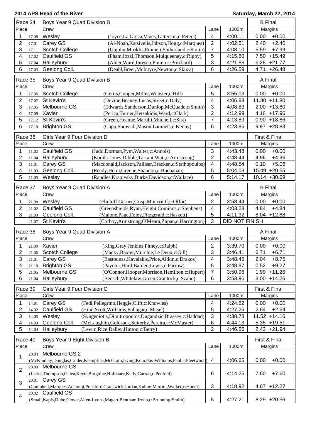| Race 34                 |       | Boys Year 9 Quad Division B                                                                                                        |                         |                       | <b>B</b> Final                     |
|-------------------------|-------|------------------------------------------------------------------------------------------------------------------------------------|-------------------------|-----------------------|------------------------------------|
| Place                   |       | Crew                                                                                                                               | Lane                    | 1000m                 | Margins                            |
| 1                       | 17.08 | Wesley<br>(Joyce, La Greca, Vines, Tatterson, c: Peters)                                                                           | $\overline{4}$          | 4:00.11               | $+0.00$<br>0.00                    |
| 2                       | 17.01 | Carey GS<br>(Al-Noah, Katsivelis, Jobson, Hogg, c: Marques)                                                                        | $\sqrt{2}$              | 4:02.51               | 2.40<br>$+2.40$                    |
| 3                       | 17.11 | Scotch College<br>(Upjohn, Miriklis, Emmett, Sutherland, c: Smith)                                                                 | $\overline{7}$          | 4:08.10               | 5.59<br>$+7.99$                    |
| $\overline{\mathbf{4}}$ | 17.02 | <b>Caulfield GS</b><br>(Pham, Iozzi, Thomson, Mulqueeney, c: Rigby)                                                                | 5                       | 4:15.60               | $7.50 + 15.49$                     |
| 5                       | 17.04 | Haileybury<br>(Alder, Ward, Jurescu, Plumb, c: Pritchard)                                                                          | $\mathbf{3}$            | 4:21.88               | $6.28 + 21.77$                     |
| 6                       | 17.03 | Geelong Coll.<br>(Deahl, Breer, McIntyre, Newton, c: Skuza)                                                                        | 6                       | 4:26.59               | 4.71<br>$+26.48$                   |
|                         |       |                                                                                                                                    |                         |                       |                                    |
| Race 35                 |       | Boys Year 9 Quad Division B                                                                                                        |                         |                       | A Final                            |
| Place                   |       | Crew                                                                                                                               | Lane                    | 1000m                 | Margins                            |
| 1                       | 17.06 | <b>Scotch College</b><br>(Gertis, Cooper, Miller, Webster, c: Hill)                                                                | 5                       | 3:55.03               | $+0.00$<br>0.00                    |
| $\overline{2}$          | 17.07 | St Kevin's<br>(Devine, Beaney, Lucas, Street, c: Daly)                                                                             | 4                       | 4:06.83               | 11.80 +11.80                       |
| 3                       | 17.05 | Melbourne GS<br>(Edwards, Sanderson, Dunlop, McQuade, c: Smith)                                                                    | 3                       | 4:08.83               | $2.00 + 13.80$                     |
| 4                       | 17.09 | Xavier<br>(Perica, Turner, Ketsakidis, Ward, c: Clark)                                                                             | $\overline{2}$          | 4:12.99               | 4.16 +17.96                        |
| 5                       | 17.12 | St Kevin's<br>(Green, Heanue, Marulli, Mitchell, c: Sist)                                                                          | $\overline{7}$          | 4:13.89               | $0.90 + 18.86$                     |
| 6                       | 17.10 | <b>Brighton GS</b><br>(Capp,Snowsill,Mason,Laumets,c:Kenny)                                                                        | 6                       | 4:23.86               | 9.97<br>$+28.83$                   |
| Race 36                 |       | Girls Year 9 Four Division D                                                                                                       |                         |                       | First & Final                      |
| Place                   |       | Crew                                                                                                                               | Lane                    | 1000m                 | Margins                            |
|                         |       |                                                                                                                                    |                         |                       |                                    |
| 1                       | 11.02 | Caulfield GS<br>(Judd,Dorman,Pym,Walter,c:Annois)                                                                                  | 3                       | 4:43.48               | 0.00<br>$+0.00$                    |
| 2                       | 11.04 | Haileybury<br>(Kodila-Jones, Dibble, Tarrant, Watt, c: Armstrong)                                                                  | $\overline{2}$          | 4:48.44               | $+4.96$<br>4.96                    |
| 3                       | 11.01 | Carey GS<br>(Macdonald, Jackson, Palliser, Bracken, c: Stathopoulos)                                                               | 4                       | 4:48.54               | 0.10<br>$+5.06$                    |
| 4                       | 11.03 | Geelong Coll.<br>(Reedy, Helm, Greene, Shannon, c: Buchanan)                                                                       | 5                       | 5:04.03               | 15.49 +20.55                       |
| 5                       | 11.05 | (Randles, Krapivsky, Burke, Davidson, c: Wallace)<br>Wesley                                                                        | 6                       | 5:14.17               | $10.14 + 30.69$                    |
| Race 37                 |       | Boys Year 9 Quad Division A                                                                                                        |                         |                       | <b>B</b> Final                     |
| Place                   |       | Crew                                                                                                                               | Lane                    | 1000m                 | Margins                            |
| 1                       | 21.08 | Wesley<br>(Flintoff, Gerner, Crisp, Moncrieff, c: Offor)                                                                           | $\overline{2}$          | 3:58.44               | $+0.00$<br>0.00                    |
| $\overline{2}$          | 21.02 | Caulfield GS<br>(Greenshields, Ryan, Height, Cominos, c: Stephens)                                                                 | 4                       | 4:03.28               | 4.84<br>$+4.84$                    |
|                         |       |                                                                                                                                    |                         |                       |                                    |
|                         |       |                                                                                                                                    |                         |                       |                                    |
| 3                       | 21.03 | Geelong Coll.<br>(Malone, Page, Foley, Fitzgerald, c: Haskett)                                                                     | $\sqrt{5}$              | 4:11.32               | $8.04 + 12.88$                     |
|                         | 21.07 | St Kevin's<br>(Corboy, Armstrong, O'Meara, Zupan, c: Harrington)                                                                   | 3                       | <b>DID NOT FINISH</b> |                                    |
| Race 38                 |       | Boys Year 9 Quad Division A                                                                                                        |                         |                       | A Final                            |
| Place                   |       | Crew                                                                                                                               | Lane                    | 1000m                 | Margins                            |
| 1                       | 21.09 | Xavier                                                                                                                             | $\overline{2}$          | 3:39.70               | 0.00<br>$+0.00$                    |
| 2                       |       | (King, Gray, Jenkins, Pitney, c: Ralph)                                                                                            |                         |                       |                                    |
| 3                       | 21.01 | 21.06 Scotch College<br>(Macky, Baxter, Murchie, Le Deux, c: Gill)<br>Carey GS<br>(Bastounas, Kavalakis, Price, Aitkin, c: Drakos) | 3<br>4                  | 3:46.41<br>3:48.45    | 6.71<br>$+6.71$<br>2.04<br>$+8.75$ |
| 4                       | 21.10 | <b>Brighton GS</b><br>(Paynter, Hurd, Barden, Lewis, c: Farrow)                                                                    | 5                       | 3:48.97               | 0.52<br>$+9.27$                    |
| 5                       | 21.05 | Melbourne GS<br>(O'Connor, Hooper, Morrison, Hamilton, c: Hupert)                                                                  | $\overline{7}$          | 3:50.96               | $1.99 + 11.26$                     |
| 6                       | 21.04 | Haileybury<br>(Bensch, Whitelaw, Green, Crantock, c: Szabo)                                                                        | $\,6$                   | 3:53.96               | $3.00 + 14.26$                     |
|                         |       |                                                                                                                                    |                         |                       |                                    |
| Race 39                 |       | Girls Year 9 Four Division C                                                                                                       |                         |                       | First & Final                      |
| Place                   |       | Crew                                                                                                                               | Lane                    | 1000m                 | Margins                            |
| 1                       | 14.01 | Carey GS<br>(Fedi, Pellegrino, Heggie, Clift, c: Knowles)                                                                          | $\overline{\mathbf{4}}$ | 4:24.62               | $+0.00$<br>0.00                    |
| $\overline{2}$          | 14.02 | Caulfield GS<br>(Hind, Scott, Williams, Fullagar, c: Masel)                                                                        | 5                       | 4:27.26               | 2.64<br>$+2.64$                    |
| 3                       | 14.05 | Wesley<br>(Syngeniotis, Dimitropoulos, Dugandzic, Brassey, c: Haddad)                                                              | 3                       | 4:38.78               | 11.52 +14.16                       |
| $\overline{4}$          | 14.03 | Geelong Coll.<br>(McLaughlin, Goldsack, Sutterby, Pereira, c: McMaster)                                                            | 6                       | 4:44.13               | $5.35 + 19.51$                     |
| 5                       | 14.04 | Haileybury<br>(Lewin, Rice, Dalley, Hutton, c: Berry)                                                                              | $\overline{2}$          | 4:46.56               | $2.43 +21.94$                      |
|                         |       |                                                                                                                                    |                         |                       |                                    |
| Race 40                 |       | Boys Year 9 Eight Division B                                                                                                       |                         |                       | First & Final                      |
| Place                   |       | Crew                                                                                                                               | Lane                    | 1000m                 | Margins                            |
| 1                       | 20.04 | Melbourne GS 2                                                                                                                     |                         |                       |                                    |
|                         |       | (McKindlay,Douglas,Calder,Klempfner,McGrath,Irving,Kourakis-Williams,Paul,c:Fleetwood)                                             | 4                       | 4:06.65               | 0.00<br>$+0.00$                    |
| $\overline{2}$          | 20.03 | Melbourne GS                                                                                                                       |                         |                       |                                    |
|                         |       | (Larke, Thompson, Galea, Keyte, Burgoine, Hofbauer, Kelly, Garratt, c: Penfold)                                                    | 6                       | 4:14.25               | 7.60<br>$+7.60$                    |
| 3                       |       | 20.01 Carey GS                                                                                                                     |                         |                       |                                    |
|                         |       | (Campbell, Marques, Adetunji, Ponsford, Cranswick, Jordan, Kuhne-Martini, Walker, c: Hundt)                                        | 3                       | 4:18.92               | $4.67 + 12.27$                     |
| $\overline{4}$          |       | 20.02 Caulfield GS<br>(Small, Kapis, Dube, Clover, Allen-Lyons, Magart, Bentham, Irwin, c: Brunning-Smith)                         | 5                       | 4:27.21               | $8.29 +20.56$                      |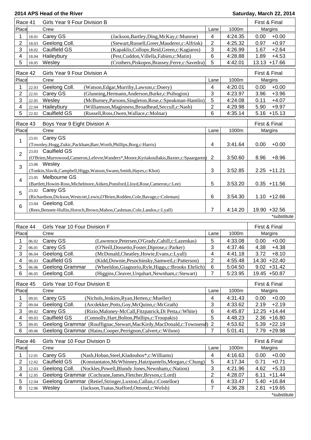| Race 41        |                | Girls Year 9 Four Division B                                                                   |                           |         | First & Final                      |  |
|----------------|----------------|------------------------------------------------------------------------------------------------|---------------------------|---------|------------------------------------|--|
| Place          |                | Crew                                                                                           | Lane                      | 1000m   | Margins                            |  |
| 1              | 18.01          | Carey GS<br>(Jackson, Bartley, Ding, McKay, c: Munroe)                                         | $\overline{4}$            | 4:24.35 | $+0.00$<br>0.00                    |  |
| $\overline{c}$ | 18.03          | Geelong Coll.<br>(Stewart, Russell, Greer, Mauderer, c: Alfrink)                               | $\overline{2}$            | 4:25.32 | 0.97<br>$+0.97$                    |  |
| 3              | 18.02          | <b>Caulfield GS</b><br>(Kapaklis, Collopy, Reid, Green, c: Kagiaros)                           | $\mathbf{3}$              | 4:26.99 | 1.67<br>$+2.64$                    |  |
| 4              | 18.04          | Haileybury<br>(Pest,Cuddon,Villella,Fabien,c:Matin)                                            | $\,6$                     | 4:28.88 | 1.89<br>$+4.53$                    |  |
| 5              | 18.05          | Wesley<br>(Crothers, Piskopos, Brassey, Ferre, c: Savedra)                                     | 5                         | 4:42.01 | $13.13 + 17.66$                    |  |
| Race 42        |                | Girls Year 9 Four Division A                                                                   |                           |         | First & Final                      |  |
| Place          |                | Crew                                                                                           | Lane                      | 1000m   | Margins                            |  |
| 1              | 22.03          | Geelong Coll.<br>(Watson, Edgar, Murrihy, Lawson, c: Doery)                                    | $\overline{\mathbf{4}}$   | 4:20.01 | $+0.00$<br>0.00                    |  |
| $\overline{2}$ | 22.01          | Carey GS<br>(Glunning, Hermann, Anderson, Burke, c: Psihogios)                                 | $\mathbf{3}$              | 4:23.97 | 3.96<br>$+3.96$                    |  |
| 3              | 22.05          | Wesley<br>(McBurney, Parsons, Singleton, Rose, c: Speakman-Hamlin)                             | 5                         | 4:24.08 | $+4.07$<br>0.11                    |  |
| 4              | 22.04          | Haileybury<br>(Williamson, Maginness, Broadhead, Seccull, c: Nash)                             | $\overline{2}$            | 4:29.98 | 5.90<br>$+9.97$                    |  |
| 5              | 22.02          | Caulfield GS<br>(Russell, Ross, Owen, Wallace, c: Molnar)                                      | 6                         | 4:35.14 | $5.16 + 15.13$                     |  |
| Race 43        |                | Boys Year 9 Eight Division A                                                                   |                           |         | First & Final                      |  |
| Place          |                | Crew                                                                                           | Lane                      | 1000m   | Margins                            |  |
|                | 23.01          | Carey GS                                                                                       |                           |         |                                    |  |
| 1              |                | (Townley, Hogg, Zukic, Packham, Barr, Worth, Phillips, Borg, c: Harris)                        | $\overline{\mathbf{4}}$   | 3:41.64 | 0.00<br>$+0.00$                    |  |
|                |                | 23.03 Caulfield GS                                                                             |                           |         |                                    |  |
| $\overline{2}$ |                | (O'Brien, Murrowood, Cameron, Lefevre, Wanders*, Moore, Kyriakoullakis, Baxter, c: Spaargaren) | $\overline{2}$            | 3:50.60 | 8.96<br>$+8.96$                    |  |
| 3              |                | 23.06 Wesley                                                                                   |                           |         |                                    |  |
|                |                | (Tonkin, Slavik, Campbell, Higgs, Watson, Swann, Smith, Hayes, c: Khot)                        | $\ensuremath{\mathsf{3}}$ | 3:52.85 | $2.25 + 11.21$                     |  |
| 4              |                | 23.05 Melbourne GS                                                                             |                           |         |                                    |  |
|                |                | (Bartlett, Howitt-Ross, Michelmore, Aitken, Ponsford, Lloyd, Rose, Cameron, c: Lee)            | 5                         | 3:53.20 | $0.35 + 11.56$                     |  |
| 5              |                | 23.02 Carey GS                                                                                 |                           |         |                                    |  |
|                |                | (Richardson, Dickson, Westcott, Lewis, O'Brien, Rodden, Cole, Bavage, c: Coleman)              | 6                         | 3:54.30 | $1.10 + 12.66$                     |  |
| 6              |                | 23.04 Geelong Coll.                                                                            |                           |         |                                    |  |
|                |                | (Rees, Bennett-Hullin, Horoch, Brown, Mahon, Cashman, Cole, Landos, c: Lyall)                  | $\overline{7}$            | 4:14.20 | 19.90 +32.56                       |  |
|                |                |                                                                                                |                           |         | *substitute                        |  |
| Race 44        |                | Girls Year 10 Four Division F                                                                  |                           |         | First & Final                      |  |
| Place          |                | Crew                                                                                           | Lane                      | 1000m   | Margins                            |  |
| 1              | 06.02          | Carey GS<br>(Lawrence, Petersen, O'Grady, Cahill, c: Lazenkas)                                 | 5                         | 4:33.08 | 0.00<br>$+0.00$                    |  |
| $\overline{2}$ | 06.01          | Carey GS<br>(O'Neill, Dossetto, Foster, Diprose, c: Parker)                                    | 3                         | 4:37.46 | 4.38<br>$+4.38$                    |  |
| 3 <sup>1</sup> |                | 06.04 Geelong Coll.<br>(McDonald, Cheatley, Howie, Evans, c: Lyall)                            | $\overline{4}$            | 4:41.18 | $3.72 +8.10$                       |  |
| 4              | 06.03          | <b>Caulfield GS</b><br>(Kidd, Downie, Pesochinsky, Samweil, c: Patterson)                      | $\overline{2}$            | 4:55.48 | 14.30 +22.40                       |  |
| 5              | 06.06          | Geelong Grammar<br>(Wheeldon, Giagnorio, Ryle, Higgs, c: Brooks Ehrlich)                       | 6                         | 5:04.50 | $9.02 + 31.42$                     |  |
| 6              | 06.05          | Geelong Coll.<br>(Higgins, Cleaver, Urquhart, Newnham, c: Stewart)                             | 7                         | 5:23.95 | 19.45 +50.87                       |  |
| Race 45        |                | Girls Year 10 Four Division E                                                                  |                           |         | First & Final                      |  |
| Place          |                | Crew                                                                                           | Lane                      | 1000m   | Margins                            |  |
|                |                | (Nichols, Jenkins, Ryan, Herten, c: Mueller)                                                   |                           | 4:31.43 |                                    |  |
| 1<br>2         | 09.01<br>09.04 | Carey GS<br>Geelong Coll.<br>(Arcdekker, Potts, Goy, McQuinn, c: McGrath)                      | 4<br>3                    | 4:33.62 | 0.00<br>$+0.00$<br>2.19<br>$+2.19$ |  |
| 3              | 09.02          | Carey GS<br>(Rizio, Maloney-McCall, Fitzpatrick, Di Petta, c: White)                           | 6                         | 4:45.87 | 12.25<br>$+14.44$                  |  |
| 4              |                |                                                                                                |                           |         |                                    |  |
|                |                |                                                                                                |                           |         |                                    |  |
|                | 09.03          | Caulfield GS<br>(Connolly, Hart, Bolton, Phillips, c: Troupakis)                               | 5                         | 4:48.23 | $2.36 + 16.80$                     |  |
| 5              | 09.05          | Geelong Grammar (Rouffignac, Stewart, MacKirdy, MacDonald, c: Townsend)                        | $\overline{2}$            | 4:53.62 | $5.39 +22.19$                      |  |
| 6              | 09.06          | Geelong Grammar (Hains, Cooper, Perrignon, Calvert, c: Wilson)                                 | $\overline{7}$            | 5:01.41 | 7.79<br>$+29.98$                   |  |
| Race 46        |                | Girls Year 10 Four Division D                                                                  |                           |         | First & Final                      |  |
| Place          |                | Crew                                                                                           | Lane                      | 1000m   | Margins                            |  |
| 1              | 12.01          | Carey GS<br>(Nash, Hoban, Steel, Kladouhos*, c: Williams)                                      | 4                         | 4:16.63 | $+0.00$<br>0.00                    |  |
| $\overline{2}$ | 12.02          | Caulfield GS<br>(Konstantatos, McWhinney, Hatzipantelis, Morgan, c: Chung)                     | 5                         | 4:17.34 | 0.71<br>$+0.71$                    |  |
| 3              | 12.03          | Geelong Coll.<br>(Nockles, Powell, Blundy Jones, Newnham, c: Nation)                           | $\sqrt{3}$                | 4:21.96 | 4.62<br>$+5.33$                    |  |
| 4              | 12.05          | Geelong Grammar (Cochrane, James, Fletcher, Bryson, c: Lord)                                   | $\overline{c}$            | 4:28.07 | 6.11<br>$+11.44$                   |  |
| 5              | 12.04          | Geelong Grammar (Retief, Stringer, Luxton, Callan, c: Costelloe)                               | 6                         | 4:33.47 | 5.40<br>$+16.84$                   |  |
| 6              | 12.06          | Wesley<br>(Jackson, Tsatas, Stafford, Omond, c: Welsh)                                         | 7                         | 4:36.28 | $+19.65$<br>2.81<br>*substitute    |  |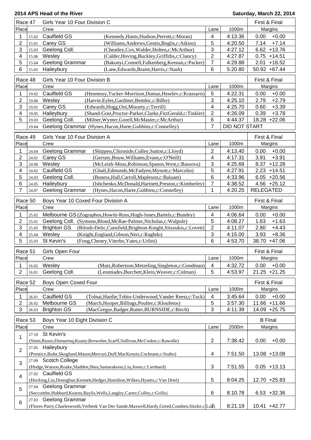| Race 47                 | Girls Year 10 Four Division C |                                                                                                    |                         | First & Final      |                  |
|-------------------------|-------------------------------|----------------------------------------------------------------------------------------------------|-------------------------|--------------------|------------------|
| Place                   |                               | Crew                                                                                               | Lane                    | 1000m              | Margins          |
| 1                       | 15.02                         | Caulfield GS<br>(Kennedy, Hants, Hudson, Perrott, c: Moran)                                        | $\overline{\mathbf{4}}$ | 4:13.36            | $+0.00$<br>0.00  |
| $\mathbf{2}$            | 15.01                         | Carey GS<br>(Williams, Andrews, Gentis, Boglis, c: Atkins)                                         | 5                       | 4:20.50            | 7.14<br>$+7.14$  |
| 3                       | 15.03                         | Geelong Coll.<br>(Cheatley, Cox, Walder, Holten, c: McArthur)                                      | 3                       | 4:27.12            | $6.62 + 13.76$   |
| $\overline{4}$          | 15.06                         | Wesley<br>(Calder, Hoving, Buckley, Griffiths, c: Clancy)                                          | $\overline{2}$          | 4:27.87            | $0.75 + 14.51$   |
| 5                       | 15.04                         | Geelong Grammar<br>(Bakonyi, Connell, Falkenberg, Keenan, c: Packer)                               | $\overline{7}$          | 4:29.88            | 2.01<br>$+16.52$ |
| 6                       | 15.05                         | Haileybury<br>(Lane, Edwards, Braim, Harris, c: Nash)                                              | 6                       | 5:20.80            | 50.92 +67.44     |
|                         |                               |                                                                                                    |                         |                    |                  |
| Race 48                 |                               | Girls Year 10 Four Division B                                                                      |                         | 1000m              | First & Final    |
| Place                   |                               | Crew                                                                                               | Lane                    |                    | Margins          |
| 1                       | 19.02                         | Caulfield GS<br>(Hennessy, Tucker-Morrison, Dumas, Heselev, c: Krassaris)                          | 5                       | 4:22.31            | $+0.00$<br>0.00  |
| $\overline{2}$          | 19.06                         | Wesley<br>(Harvie, Eyles, Gardiner, Bembic, c: Bilby)                                              | 3                       | 4:25.10            | 2.79<br>$+2.79$  |
| 3                       | 19.01                         | Carey GS<br>(Edwards, Hogg, Ooi, Morarty, c: Terrill)                                              | $\overline{\mathbf{4}}$ | 4:25.70            | 0.60<br>$+3.39$  |
| 4                       | 19.05                         | Haileybury<br>(Shand-Gost, Proctor-Parker, Clarke, FitzGerald, c: Tinkler)                         | $\overline{c}$          | 4:26.09            | 0.39<br>$+3.78$  |
| 5                       | 19.03                         | Geelong Coll.<br>(Milner, Wynter, Gorell, McMaster, c: McArthur)                                   | 6                       | 4:44.37            | 18.28 +22.06     |
|                         | 19.04                         | Geelong Grammar (Hynes, Hacon, Harte, Gubbins, c: Connelley)                                       | 7                       | DID NOT START      |                  |
| Race 49                 |                               | Girls Year 10 Four Division A                                                                      |                         |                    | First & Final    |
| Place                   |                               | Crew                                                                                               | Lane                    | 1000m              | Margins          |
| 1                       | 24.04                         | Geelong Grammar<br>(Shippen, Chirnside, Culley, Sutton, c: Lloyd)                                  | $\overline{2}$          | 4:13.40            | $+0.00$<br>0.00  |
| 2                       | 24.01                         | Carey GS<br>(Gerraty, Bouw, Williams, Evans, c: O'Neill)                                           | 4                       | 4:17.31            | 3.91<br>$+3.91$  |
| 3                       | 24.06                         | Wesley<br>(McLeish-Moss, Robinson, Spanos, West, c: Bassova)                                       | 3                       | 4:25.68            | 8.37<br>$+12.28$ |
| 4                       | 24.02                         | Caulfield GS<br>(Ghali, Edmonds, McFadyen, Mynott, c: Marcolin)                                    | 5                       | 4:27.91            | $2.23 + 14.51$   |
| 5                       | 24.03                         | Geelong Coll.<br>(Boness, Hall, Carroll, Mapleson, c: Balaam)                                      | $\,6$                   | 4:33.96            | $6.05 +20.56$    |
| 6                       | 24.05                         | Haileybury<br>(Ishchenko, McDonald, Hartnett, Preston, c: Kimberley)                               | $\overline{7}$          | 4:38.52            | $4.56 +25.12$    |
| 7                       | 24.07                         | Geelong Grammar<br>(Hynes, Hacon, Harte, Gubbins, c: Connelley)                                    | 1                       | 4:20.25            | <b>RELEGATED</b> |
|                         |                               |                                                                                                    |                         |                    |                  |
| Race 50                 |                               | Boys Year 10 Coxed Four Division A                                                                 |                         |                    | First & Final    |
| Place                   |                               | Crew                                                                                               | Lane                    | 1000m              | Margins          |
| 1                       | 25.02                         | Melbourne GS (Zographos, Howitt-Ross, Hugh-Jones, Bartels, c: Bundey)                              | 4                       | 4:06.64            | 0.00<br>$+0.00$  |
| $\overline{2}$          | 25.01                         | Geelong Coll. (Symons, Blond, McRae-Palmer, Nicholas, c: Walpole)                                  | 5                       | 4:08.27            | 1.63<br>$+1.63$  |
| 3                       | 25.05                         | <b>Brighton GS</b><br>(Bilosh-Delic, Cansfield, Brighton-Knight, Sitzoukis, c: Lovett)             | $\overline{2}$          | 4:11.07            | 2.80<br>$+4.43$  |
| 4                       | 25.04                         | Wesley<br>(Knight, England, Gibson, Neri, c: Raghdo)                                               | 3                       | 4:15.00            | 3.93<br>$+8.36$  |
| 5                       | 25.03                         | St Kevin's<br>(Fong, Cheney, Viterbo, Yates, c: Urlini)                                            | 6                       | 4:53.70            | 38.70 +47.06     |
|                         |                               |                                                                                                    |                         |                    |                  |
| Race 51                 |                               | Girls Open Four                                                                                    |                         |                    | First & Final    |
| Place                   |                               | Crew                                                                                               | Lane                    | 1000m              | Margins          |
| 1                       | 16.02                         | Wesley<br>(Mutz, Robertson, Metzeling, Singleton, c: Goodman)                                      | 4                       | 4:32.72            | 0.00<br>$+0.00$  |
| $\overline{2}$          | 16.01                         | Geelong Coll.<br>(Leontiades, Burchett, Klein, Weaver, c: Colman)                                  | 5                       | 4:53.97            | $21.25 + 21.25$  |
| Race 52                 |                               | Boys Open Coxed Four                                                                               |                         |                    | First & Final    |
| Place                   |                               | Crew                                                                                               | Lane                    | 1000m              | Margins          |
| 1                       |                               | Caulfield GS<br>(Tolnai, Hardie, Tobin-Underwood, Vander Reest, c: Tuck)                           | $\overline{4}$          | 3:45.64            | $+0.00$<br>0.00  |
| $\overline{2}$          | 26.01                         | Melbourne GS<br>(March, Hooper, Billings, Poulter, c: Kloufetos)                                   | 5                       |                    | 11.66 +11.66     |
| 3                       | 26.02                         | (MacGregor,Badger,Rutter,BURNSIDE,c:Birch)<br><b>Brighton GS</b>                                   | 3                       | 3:57.30<br>4:11.39 | 14.09 +25.75     |
|                         | 26.03                         |                                                                                                    |                         |                    |                  |
| Race 53                 |                               | Boys Year 10 Eight Division C                                                                      |                         |                    | <b>B</b> Final   |
| Place                   |                               | Crew                                                                                               | Lane                    | 2000m              | Margins          |
|                         | 27.10                         | St Kevin's                                                                                         |                         |                    |                  |
| 1                       |                               | (Sinni, Russo, Dumaresq, Kuany, Brownlee, Scarff, Sullivan, McCosker, c: Rawolle)                  | 2                       | 7:38.42            | 0.00<br>$+0.00$  |
|                         |                               | 27.05 Haileybury                                                                                   |                         |                    |                  |
| $\overline{2}$          |                               | (Prentice,Bulte,Skoglund,Mason,Mercuri,Duff,MacKenzie,Cochrane,c:Szabo)                            | $\overline{\mathbf{4}}$ | 7:51.50            | 13.08 +13.08     |
|                         |                               | 27.09 Scotch College                                                                               |                         |                    |                  |
| 3                       |                               | (Hodge, Watson, Roake, Sladden, Shea, Samarakoon, Liu, Jones, c: Lienhard)                         | 3                       | 7:51.55            | $0.05 + 13.13$   |
|                         |                               | 27.02 Caulfield GS                                                                                 |                         |                    |                  |
| $\overline{\mathbf{4}}$ |                               | (Hocking, Liu, Donoghue, Kennett, Hedger, Hamilton, Wilkes, Hyams, c: Van Driel)                   | $\sqrt{5}$              | 8:04.25            | 12.70 +25.83     |
|                         |                               | 27.04 Geelong Grammar                                                                              |                         |                    |                  |
| 5                       |                               | (Seccombe, Hubbard, Kearns, Baylis, Wells, Langley, Carter, Colley, c: Grills)                     | $\,6$                   | 8:10.78            | $6.53 + 32.36$   |
|                         |                               | 27.03 Geelong Grammar                                                                              |                         |                    |                  |
| 6                       |                               | (Flores-Parry, Charlesworth, Verbeek Van Der Sande, Maxwell, Hardy, Greed, Comben, Sitzler, c Lu7) |                         | 8:21.19            | 10.41 +42.77     |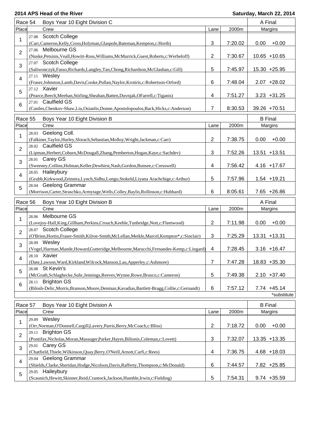| Race 54        | Boys Year 10 Eight Division C                                                                          |                |         | A Final         |
|----------------|--------------------------------------------------------------------------------------------------------|----------------|---------|-----------------|
| Place          | Crew                                                                                                   | Lane           | 2000m   | Margins         |
|                | 27.08 Scotch College                                                                                   |                |         |                 |
| 1              | (Carr, Cameron, Kelly, Cross, Holyman, Glaspole, Bateman, Kempton, c: Horth)                           | 3              | 7:20.02 | 0.00<br>$+0.00$ |
| $\overline{2}$ | 27.06 Melbourne GS                                                                                     |                |         |                 |
|                | (Nuske, Petsinis, Veall, Howitt-Ross, Williams, McMurrick, Guest, Roberts, c: Werbeloff)               | 2              | 7:30.67 | $10.65 + 10.65$ |
| 3              | 27.07 Scotch College                                                                                   |                |         |                 |
|                | (Saliwonczyk, Fasso, Richards, Langley, Tan, Chong, Richardson, McGlashan, c: Gill)                    | 5              | 7:45.97 | 15.30 +25.95    |
| 4              | 27.11 Wesley                                                                                           |                |         |                 |
|                | (Fraser,Johnston,Lamb,Davis,Cooke,Pullan,Naylor,Krotiris,c:Robertson-Orford)                           | 6              | 7:48.04 | $2.07 + 28.02$  |
| 5              | 27.12 Xavier                                                                                           |                |         |                 |
|                | (Pearce, Beech, Meehan, Stirling, Sheahan, Batten, Duvnjak, OFarrell, c: Tiganis)                      | 4              | 7:51.27 | $3.23 + 31.25$  |
| 6              | 27.01 Caulfield GS                                                                                     |                |         |                 |
|                | (Castles, Chenkov-Shaw, Liu, Osianlis, Donne, Apostolopoulos, Back, Hicks, c: Anderson)                | 7              | 8:30.53 | 39.26 +70.51    |
| Race 55        | Boys Year 10 Eight Division B                                                                          |                |         | <b>B</b> Final  |
| Place          | Crew                                                                                                   | Lane           | 2000m   | Margins         |
|                | 28.03 Geelong Coll.                                                                                    |                |         |                 |
| 1              |                                                                                                        | $\overline{2}$ | 7:38.75 | 0.00<br>$+0.00$ |
|                | (Falkiner, Taylor, Hurley, Slorach, Sebastian, Molloy, Wright, Jackman, c: Carr)<br>28.02 Caulfield GS |                |         |                 |
| $\overline{2}$ | (Lipman, Herbert, Coburn, McDougall, Zhang, Pemberton, Hogan, Kaye, c: Sachdev)                        | 3              | 7:52.26 | 13.51 +13.51    |
|                | 28.01 Carey GS                                                                                         |                |         |                 |
| 3              | (Sweeney, Collins, Holman, Keller, Dewhirst, Nash, Gordon, Bunsee, c: Cresswell)                       | 4              | 7:56.42 | 4.16 +17.67     |
|                | 28.05 Haileybury                                                                                       |                |         |                 |
| 4              | (Grubb,Kirkwood,Zeinstra,Lynch,Sidhu,Longo,Stokeld,Liyana Arachchige,c:Arthur)                         | 5              | 7:57.96 | $1.54 + 19.21$  |
|                | 28.04 Geelong Grammar                                                                                  |                |         |                 |
| 5              | (Morrison, Carter, Straschko, Armytage, Wells, Colley, Baylis, Rollinson, c: Hubbard)                  | 6              | 8:05.61 | $7.65 +26.86$   |
|                |                                                                                                        |                |         |                 |
| Race 56        | Boys Year 10 Eight Division B                                                                          |                |         | A Final         |
| Place          | Crew                                                                                                   | Lane           | 2000m   | Margins         |
| 1              | Melbourne GS<br>28.06                                                                                  |                |         |                 |
|                | (Lovejoy-Hall, King, Gillham, Perkins, Crouch, Keeble, Tunbridge, Nott, c: Fleetwood)                  | 2              | 7:11.98 | 0.00<br>$+0.00$ |
| $\overline{2}$ | 28.07 Scotch College                                                                                   |                |         |                 |
|                | (O'Brien, Hortin, Fraser-Smith, Kilroe-Smith, McLellan, Meikle, Marcel, Kempton*, c: Sinclair)         | 3              | 7:25.29 | 13.31 +13.31    |
| 3              | 28.09 Wesley                                                                                           |                |         |                 |
|                | (Vogel, Harman, Mande, Howard, Gutteridge, Melbourne, Marucchi, Fernandes-Kemp, c: Lingard)            | 4              | 7:28.45 | $3.16 + 16.47$  |
| 4              | 28.10 Xavier                                                                                           |                |         |                 |
|                | (Date,Lawson,Ward,Kirkland,Wilcock,Manson,Lau,Apperley,c:Ashmore)                                      | 7              | 7:47.28 | 18.83 +35.30    |
| 5              | 28.08 St Kevin's                                                                                       |                |         |                 |
|                | (McGrath,Schlaghecke,Suhr,Jennings,Reeves,Wynne,Rowe,Brusco,c:Cameron)                                 | 5              | 7:49.38 | $2.10 + 37.40$  |
| 6              | <b>Brighton GS</b><br>28.11                                                                            |                |         |                 |
|                | (Bilosh-Delic, Morris, Branson, Moore, Denman, Kavadias, Bartlett-Bragg, Collie, c: Gernandt)          | 6              | 7:57.12 | $7.74 + 45.14$  |
|                |                                                                                                        |                |         | *substitute     |
| Race 57        | Boys Year 10 Eight Division A                                                                          |                |         | <b>B</b> Final  |
| Place          | Crew                                                                                                   | Lane           | 2000m   | Margins         |
|                | Wesley<br>29.09                                                                                        |                |         |                 |
| 1              |                                                                                                        |                |         |                 |
|                |                                                                                                        |                |         |                 |
|                | (Orr, Norman, O'Donnell, Cargill, Lavery, Parris, Berry, McCoach, c: Bliss)<br>29.11                   | $\overline{2}$ | 7:18.72 | $+0.00$<br>0.00 |
| $\overline{2}$ | <b>Brighton GS</b>                                                                                     |                |         |                 |
|                | (Pontifax, Nicholas, Moran, Massuger, Parker, Hayes, Bilionis, Coleman, c: Lovett)                     | 3              | 7:32.07 | 13.35 +13.35    |
| 3              | 29.01 Carey GS                                                                                         | 4              | 7:36.75 | $4.68 + 18.03$  |
|                | (Chatfield,Thiele,Wilkinson,Quay,Berry,O'Neill,Arnott,Carfi,c:Rees)<br>29.04 Geelong Grammar           |                |         |                 |
| 4              | (Shields, Clarke, Sheridan, Hodge, Nicolson, Davis, Rafferty, Thompson, c: McDonald)                   | 6              | 7:44.57 | 7.82 +25.85     |
| 5              | 29.05 Haileybury                                                                                       |                |         |                 |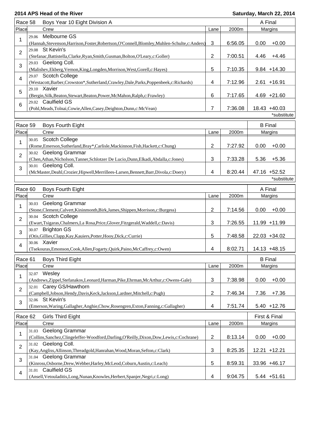| Race 58                             | Boys Year 10 Eight Division A       |                                                                                                                   |                |         |      | A Final                     |
|-------------------------------------|-------------------------------------|-------------------------------------------------------------------------------------------------------------------|----------------|---------|------|-----------------------------|
| Place                               |                                     | Crew                                                                                                              | Lane           | 2000m   |      | Margins                     |
| 1                                   | 29.06                               | Melbourne GS<br>(Hannah, Stevenson, Harrison, Foster, Robertson, O'Connell, Blomley, Muhlen-Schulte, c: Anders)   | 3              | 6:56.05 | 0.00 | $+0.00$                     |
| $\overline{2}$                      |                                     | 29.08 St Kevin's<br>(Stefanac, Battistella, Clarke, Ryan, Smith, Gusman, Bolton, O'Leary, c: Goller)              | $\overline{c}$ | 7:00.51 | 4.46 | $+4.46$                     |
| 3                                   | 29.03                               | Geelong Coll.<br>(Malishev, Ekberg, Vernon, King, Longden, Morrison, West, Gorell, c: Hayes)                      | 5              | 7:10.35 |      | $9.84 + 14.30$              |
| $\overline{4}$                      |                                     | 29.07 Scotch College<br>(Westacott, Barber, Crowston*, Sutherland, Crawley, Dale, Parks, Poppenbeek, c: Richards) | 4              | 7:12.96 |      | $2.61 + 16.91$              |
| 5                                   |                                     | 29.10 Xavier<br>(Bergin, Silk, Beaton, Stewart, Beaton, Power, McMahon, Ralph, c: Frawley)                        | 6              | 7:17.65 |      | $4.69 +21.60$               |
| 6                                   |                                     | 29.02 Caulfield GS<br>(Pohl, Meads, Tolnai, Cowie, Allen, Casey, Deighton, Dunn, c: McVean)                       | 7              | 7:36.08 |      | 18.43 +40.03                |
|                                     |                                     |                                                                                                                   |                |         |      | *substitute                 |
| Race 59                             |                                     | <b>Boys Fourth Eight</b>                                                                                          |                |         |      | <b>B</b> Final              |
| Place                               |                                     | Crew                                                                                                              | Lane           | 2000m   |      | Margins                     |
| 1                                   |                                     | 30.05 Scotch College<br>(Rome, Emerson, Sutherland, Bray*, Carlisle, Mackinnon, Fish, Hackett, c: Chung)          | $\overline{2}$ | 7:27.92 | 0.00 | $+0.00$                     |
| $\overline{2}$                      |                                     | 30.02 Geelong Grammar<br>(Chen, Athan, Nicholson, Tanner, Schlotzer De Lucio, Dunn, Elkadi, Abdalla, c: Jones)    | 3              | 7:33.28 | 5.36 | $+5.36$                     |
| 3                                   |                                     | 30.01 Geelong Coll.<br>(McMaster,Deahl,Crozier,Hipwell,Merrillees-Larsen,Bennett,Barr,Divola,c:Doery)             | 4              | 8:20.44 |      | 47.16 +52.52<br>*substitute |
|                                     | Race 60<br><b>Boys Fourth Eight</b> |                                                                                                                   |                |         |      | A Final                     |
| Place                               |                                     | Crew                                                                                                              | Lane           | 2000m   |      | Margins                     |
| 1                                   | 30.03                               | Geelong Grammar<br>(Stone, Clement, Calvert, Kininmonth, Birk, James, Shippen, Morrison, c: Burgess)              | $\overline{2}$ | 7:14.56 | 0.00 | $+0.00$                     |
| $\overline{2}$                      |                                     | 30.04 Scotch College<br>(Ewart,Tsigaras,Chalmers,La Rosa,Price,Glover,Fitzgerald,Waddell,c:Davis)                 | 3              | 7:26.55 |      | 11.99 +11.99                |
| 3                                   | 30.07                               | <b>Brighton GS</b><br>(Otis, Gillies, Clapp, Kay, Kauiers, Potter, Hooy, Dick, c: Currie)                         | 5              | 7:48.58 |      | 22.03 +34.02                |
| 4                                   |                                     | 30.06 Xavier<br>(Tsekouras, Emonson, Cook, Allen, Fogarty, Quirk, Paino, McCaffrey, c: Owen)                      | 4              | 8:02.71 |      | 14.13 +48.15                |
| Race 61                             |                                     | <b>Boys Third Eight</b>                                                                                           |                |         |      | <b>B</b> Final              |
| Place                               | 32.07                               | Crew<br>Wesley                                                                                                    | Lane           | 2000m   |      | Margins                     |
| 1                                   | 32.01                               | (Andrews,Zippel,Stefanakos,Leonard,Harman,Pike,Ehrman,McArthur,c:Owens-Gale)<br>Carey GS/Hawthorn                 | 3              | 7:38.98 | 0.00 | $+0.00$                     |
| 2                                   |                                     | (Campbell,Jobson,Hendy,Davis,Keck,Jackson,Lardner,Mitchell,c:Pugh)<br>32.06 St Kevin's                            | 2              | 7:46.34 | 7.36 | $+7.36$                     |
| 3                                   |                                     | (Emerson, Waring, Gallagher, Anghie, Chow, Rosengren, Exton, Fanning, c: Gallagher)                               | 4              | 7:51.74 |      | $5.40 + 12.76$              |
| Race 62<br><b>Girls Third Eight</b> |                                     |                                                                                                                   |                |         |      | First & Final               |
| Place                               |                                     | Crew                                                                                                              | Lane           | 2000m   |      | Margins                     |
| 1                                   | 31.03                               | Geelong Grammar<br>(Collins,Sanchez,Clingeleffer-Woodford,Darling,O'Reilly,Dixon,Dow,Lewis,c:Cochrane)            | $\overline{2}$ | 8:13.14 | 0.00 | $+0.00$                     |
| $\overline{2}$                      |                                     | 31.02 Geelong Coll.<br>(Kay, Angliss, Allinson, Threadgold, Hanrahan, Wood, Moran, Sefton, c: Clark)              | 3              | 8:25.35 |      | 12.21 +12.21                |
| 3                                   | 31.04                               | Geelong Grammar<br>(Kinross, Osborne, Drew, Webber, Harley, McLeod, Coburn, Austin, c: Leach)                     | 5              | 8:59.31 |      | 33.96 +46.17                |
| $\overline{\mathbf{4}}$             | 31.01                               | Caulfield GS<br>(Ansell, Vetouladitis, Long, Nunan, Knowles, Herbert, Spanjer, Negri, c: Long)                    | 4              | 9:04.75 |      | $5.44 + 51.61$              |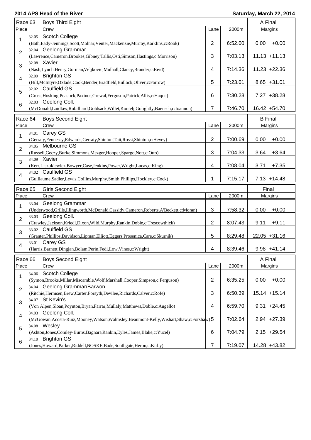| Race 63                 |       | <b>Boys Third Eight</b>                                                                       |                         |         |                | A Final         |  |
|-------------------------|-------|-----------------------------------------------------------------------------------------------|-------------------------|---------|----------------|-----------------|--|
| Place                   |       | Crew                                                                                          | Lane                    | 2000m   |                | Margins         |  |
|                         | 32.05 | <b>Scotch College</b>                                                                         |                         |         |                |                 |  |
| 1                       |       | (Bath, Eady-Jennings, Scott, Molnar, Venter, Mackenzie, Murray, Karklins, c: Rook)            | 2                       | 6:52.00 | 0.00           | $+0.00$         |  |
| $\overline{2}$          |       | 32.04 Geelong Grammar                                                                         |                         |         |                |                 |  |
|                         |       | (Lawrence,Cameron,Brookes,Gibney,Tallis,Osti,Simson,Hastings,c:Morrison)                      | 3                       | 7:03.13 |                | $11.13 + 11.13$ |  |
| 3                       |       | 32.08 Xavier                                                                                  |                         |         |                |                 |  |
|                         |       | (Nash, Lynch, Henry, Gorman, Veljkovic, Mulhall, Clancy, Brander, c: Reid)                    | 4                       | 7:14.36 |                | 11.23 +22.36    |  |
| $\overline{4}$          |       | 32.09 Brighton GS                                                                             |                         |         |                |                 |  |
|                         |       | (Hill, McIntyre, Oxlade, Cook, Bender, Bradfield, Bullock, Oliver, c: Farrow)                 | 5                       | 7:23.01 |                | $8.65 + 31.01$  |  |
| 5                       |       | 32.02 Caulfield GS                                                                            |                         |         |                |                 |  |
| 6                       |       | (Cross, Hosking, Peacock, Paxinos, Grewal, Ferguson, Patrick, Allis, c: Haque)                | 6                       | 7:30.28 |                | 7.27 +38.28     |  |
|                         |       | 32.03 Geelong Coll.                                                                           |                         |         |                |                 |  |
|                         |       | (McDonald,Laidlaw,Robilliard,Goldsack,Willet,Kontelj,Golightly,Baensch,c:Ioannou)             | $\overline{7}$          | 7:46.70 |                | 16.42 +54.70    |  |
| Race 64                 |       | <b>Boys Second Eight</b>                                                                      |                         |         | <b>B</b> Final |                 |  |
| Place                   |       | Crew                                                                                          | Lane                    | 2000m   |                | Margins         |  |
|                         |       | 34.01 Carey GS                                                                                |                         |         |                |                 |  |
| 1                       |       | (Gerraty, Fennessy, Edwards, Gerraty, Shinton, Tait, Rossi, Shinton, c: Hevey)                | $\overline{2}$          | 7:00.69 | 0.00           | $+0.00$         |  |
|                         |       | 34.05 Melbourne GS                                                                            |                         |         |                |                 |  |
| $\overline{2}$          |       | (Russell, Geczy, Burke, Simmons, Mezger, Hooper, Spargo, Nott, c: Otto)                       | 3                       | 7:04.33 | 3.64           | $+3.64$         |  |
| 3                       |       | 34.09 Xavier                                                                                  |                         |         |                |                 |  |
|                         |       | (Kerr,Liszukiewicz,Bowyer,Case,Jenkins,Power,Wright,Lucas,c:King)                             | 4                       | 7:08.04 | 3.71           | $+7.35$         |  |
| $\overline{4}$          |       | 34.02 Caulfield GS                                                                            |                         |         |                |                 |  |
|                         |       | (Guillaume, Sadler, Lewis, Collins, Murphy, Smith, Phillips, Hockley, c: Cock)                | 1                       | 7:15.17 |                | $7.13 + 14.48$  |  |
|                         |       |                                                                                               |                         |         |                |                 |  |
|                         |       |                                                                                               |                         |         |                |                 |  |
| Race 65                 |       | <b>Girls Second Eight</b>                                                                     |                         |         | Final          |                 |  |
| Place                   |       | Crew                                                                                          | Lane                    | 2000m   |                | Margins         |  |
| 1                       | 33.04 | Geelong Grammar                                                                               |                         |         |                |                 |  |
|                         |       | (Underwood, Grills, Illingworth, McDonald, Cassidy, Cameron, Roberts, A'Beckett, c: Moran)    | 3                       | 7:58.32 | 0.00           | $+0.00$         |  |
| $\overline{2}$          |       | 33.03 Geelong Coll.                                                                           |                         |         |                |                 |  |
|                         |       | (Crawley,Jackson,Kriedl,Dixon,Wild,Murphy,Rankin,Dobie,c:Trescowthick)<br>33.02 Caulfield GS  | $\overline{2}$          | 8:07.43 | 9.11           | $+9.11$         |  |
| 3                       |       | (Granter, Phillips, Davidson, Lipman, Elliott, Eggers, Prosenica, Care, c: Skurnik)           | 5                       | 8:29.48 |                | 22.05 +31.16    |  |
|                         |       | 33.01 Carey GS                                                                                |                         |         |                |                 |  |
| 4                       |       | (Harris, Barnett, Dingjan, Bolam, Perin, Fedi, Low, Vines, c: Wright)                         | 4                       | 8:39.46 |                | $9.98 + 41.14$  |  |
|                         |       |                                                                                               |                         |         |                |                 |  |
| Race 66                 |       | <b>Boys Second Eight</b>                                                                      |                         |         | A Final        |                 |  |
| Place                   |       | Crew                                                                                          | Lane                    | 2000m   |                | Margins         |  |
| 1                       | 34.06 | Scotch College                                                                                |                         |         |                |                 |  |
|                         |       | (Symon, Brooks, Millar, Miscamble, Wolf, Marshall, Cooper, Simpson, c: Ferguson)              | $\overline{2}$          | 6:35.25 | 0.00           | $+0.00$         |  |
| $\overline{2}$          |       | 34.04 Geelong Grammar/Barwon                                                                  |                         |         |                |                 |  |
|                         |       | (Ritchie, Hermsen, Brew, Carter, Forsyth, Devilee, Richards, Calver, c: Rofe)                 | $\sqrt{3}$              | 6:50.39 |                | 15.14 +15.14    |  |
| 3                       |       | 34.07 St Kevin's                                                                              |                         |         |                |                 |  |
|                         |       | (Von Alpen, Sloan, Poynton, Bryan, Farrar, Mullaly, Matthews, Doble, c: Augello)              | $\overline{\mathbf{4}}$ | 6:59.70 |                | $9.31 +24.45$   |  |
| $\overline{\mathbf{4}}$ | 34.03 | Geelong Coll.                                                                                 |                         |         |                |                 |  |
|                         |       | (McGowan, Acosta-Ruiz, Mooney, Watson, Walmsley, Beaumont-Kelly, Wishart, Shaw, c: Forshaw) 5 |                         | 7:02.64 |                | 2.94 +27.39     |  |
| 5                       |       | 34.08 Wesley                                                                                  |                         |         |                |                 |  |
| 6                       |       | (Ashton,Jones,Comley-Burns,Bagnara,Rankin,Eyles,James,Blake,c:Yucel)<br>34.10 Brighton GS     | 6                       | 7:04.79 |                | $2.15 + 29.54$  |  |